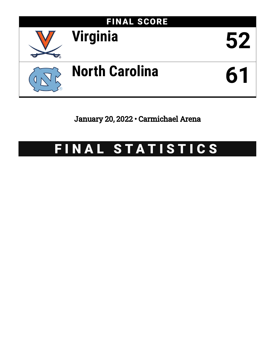

January 20, 2022 • Carmichael Arena

# FINAL STATISTICS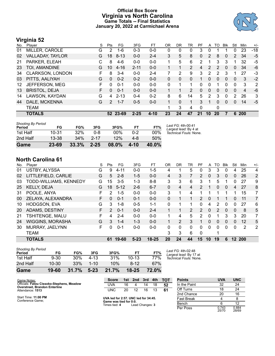### **Official Box Score Virginia vs North Carolina Game Totals -- Final Statistics January 20, 2022 at Carmichael Arena**



### **Virginia 52**

| No. | Player                  | S  | <b>Pts</b> | FG       | 3FG      | FТ       | OR          | DR | TR             | PF       | A  | TO | <b>B</b> lk    | Stl      | Min            | $+/-$ |
|-----|-------------------------|----|------------|----------|----------|----------|-------------|----|----------------|----------|----|----|----------------|----------|----------------|-------|
| 01  | MILLER, CAROLE          | G  | 2          | $1-6$    | $0 - 3$  | $0-0$    | 0           | 0  | 0              | 3        | 0  |    |                | 0        | 23             | $-18$ |
| 02  | VALLADAY, TAYLOR        | G  | 18         | $8 - 13$ | $0 - 0$  | $2 - 4$  | 3           | 5  | 8              | 0        | 2  | 8  | $\overline{0}$ | 2        | 34             | $-5$  |
| 21  | PARKER, ELEAH           | С  | 8          | $4-6$    | $0 - 0$  | $0-0$    | 1.          | 5  | 6              | 2        | 1  | 3  | 3              |          | 32             | -5    |
| 23  | TOI, AMANDINE           | G  | 10         | $4 - 16$ | $2 - 11$ | $0 - 0$  | 1           |    | $\overline{2}$ | 4        | 2  | 2  | $\mathbf{0}$   | $\Omega$ | 34             | -6    |
| 34  | <b>CLARKSON, LONDON</b> | F. | 8          | $3 - 4$  | $0 - 0$  | $2 - 4$  | 7           | 2  | 9              | 3        | 2  | 2  | 3              |          | 27             | -3    |
| 03  | PITTS, AALIYAH          | G  | $\Omega$   | $0 - 2$  | $0 - 2$  | $0 - 0$  | 0           | 0  | $\Omega$       |          | 0  | 0  | $\Omega$       | 0        | 3              | $-2$  |
| 12  | JEFFERSON, MEG          | F  | 0          | $0 - 1$  | $0 - 0$  | $0 - 0$  | $\Omega$    |    |                | $\Omega$ | 0  |    | 0              | 0        | 3              | 2     |
| 13  | <b>BRISTOL, DEJA</b>    | F  | $\Omega$   | $0 - 1$  | $0 - 0$  | $0 - 0$  |             |    | 2              | 0        | 0  | 0  | $\overline{0}$ | $\Omega$ | $\overline{4}$ | -6    |
| 14  | LAWSON, KAYDAN          | G  | 4          | $2 - 13$ | $0 - 4$  | $0 - 2$  | 8           | 6  | 14             | 5        | 2  | 3  | 0              | 2        | 26             | 3     |
| 44  | DALE, MCKENNA           | G  | 2          | $1 - 7$  | $0 - 5$  | $0 - 0$  | $\mathbf 1$ | 0  | 1              | 3        | 1  | 0  | $\Omega$       | 0        | 14             | $-5$  |
|     | <b>TEAM</b>             |    |            |          |          |          | 1           | 3  | 4              | $\Omega$ |    | 0  |                |          |                |       |
|     | <b>TOTALS</b>           |    |            | 52 23-69 | $2 - 25$ | $4 - 10$ | 23          | 24 | 47             | 21       | 10 | 20 |                | 6        | <b>200</b>     |       |

| Game                                | 23-69     | 33.3% | $2 - 25$ | 08.0% | 4-10 | 40.0%  |                                             |
|-------------------------------------|-----------|-------|----------|-------|------|--------|---------------------------------------------|
| 2nd Half                            | 13-38     | 34%   | $2 - 17$ | 12%   | 4-8  | 50%    |                                             |
| 1st Half                            | $10 - 31$ | 32%   | 0-8      | 00%   | በ-2  | $00\%$ | Technical Fouls: None.                      |
| <b>Shooting By Period</b><br>Period | FG        | FG%   | 3FG      | 3FG%  | FT   | FT%    | Last FG: 4th-00:41<br>Largest lead: By 4 at |

### **North Carolina 61**

| No. | Player                  | S  | Pts           | FG       | 3FG      | FT        | 0R       | DR | TR       | PF            | A  | TO | <b>B</b> lk | Stl          | Min            | $+/-$          |
|-----|-------------------------|----|---------------|----------|----------|-----------|----------|----|----------|---------------|----|----|-------------|--------------|----------------|----------------|
| 01  | <b>USTBY, ALYSSA</b>    | G  | 9             | 4-11     | $0-0$    | $1 - 5$   | 4        |    | 5        | 0             | 3  | 3  | 0           | 4            | 25             | 4              |
| 02  | LITTLEFIELD, CARLIE     | G  | 5             | $2 - 8$  | $1 - 5$  | $0 - 0$   | 4        | 3  |          | 2             | 0  | 3  | $\Omega$    | $\mathbf{0}$ | 26             | $\overline{2}$ |
| 03  | TODD-WILLIAMS, KENNEDY  | G  | 15            | $3-5$    | 1-3      | $8 - 8$   | 3        | 3  | 6        | 3             | 1  | 5  |             | 0            | 27             | 9              |
| 25  | KELLY, DEJA             | G  | 18            | $5 - 12$ | $2 - 6$  | $6 - 7$   | 0        | 4  | 4        | 2             |    | 0  | $\Omega$    | 4            | 27             | 8              |
| 31  | POOLE, ANYA             | F  | $\mathcal{P}$ | $1 - 5$  | $0 - 0$  | $0 - 0$   | 3        | 1  | 4        |               |    |    |             | 1            | 15             | 7              |
| 00  | ZELAYA, ALEXANDRA       | F  | 0             | $0 - 1$  | $0 - 1$  | $0 - 0$   | 0        |    |          | $\mathcal{P}$ | 0  |    |             | $\Omega$     | 11             | 7              |
| 10  | HODGSON, EVA            | G  | 3             | 1-8      | $0 - 5$  | $1 - 1$   | $\Omega$ |    |          | 0             | 4  | 2  | 0           | 0            | 27             | 6              |
| 20  | ADAMS, DESTINY          | F. | $\mathcal{P}$ | $0 - 1$  | $0 - 0$  | $2 - 4$   | 1        | 1  | 2        | 2             | 0  | 2  | $\Omega$    | $\Omega$     | 8              | 5              |
| 21  | TSHITENGE, MALU         | F  | 4             | $2 - 4$  | $0 - 0$  | $0 - 0$   | 1        | 4  | 5.       | 2             | 0  |    | 3           | 3            | 20             | 7              |
| 24  | <b>WIGGINS, MORASHA</b> | G  | 3             | $1 - 4$  | $1 - 3$  | $0 - 0$   |          | 2  | 3        |               | 0  | 0  | $\Omega$    | 0            | 12             | 5              |
| 30  | MURRAY, JAELYNN         | F  | 0             | $0 - 1$  | $0 - 0$  | $0 - 0$   | 0        | 0  | $\Omega$ | 0             | 0  | 0  | 0           | $\Omega$     | $\overline{2}$ | 2              |
|     | <b>TEAM</b>             |    |               |          |          |           | 3        | 3  | 6        | 0             |    |    |             |              |                |                |
|     | <b>TOTALS</b>           |    | 61            | 19-60    | $5 - 23$ | $18 - 25$ | 20       | 24 | 44       | 15            | 10 | 19 | 6           | 12           | 200            |                |

| Game                                | 19-60     | 31.7% | $5 - 23$ | 21.7% | $18 - 25$ | 72.0% |              |
|-------------------------------------|-----------|-------|----------|-------|-----------|-------|--------------|
| 2nd Half                            | $10 - 30$ | 33%   | $1 - 10$ | 10%   | $8-12$    | 67%   |              |
| 1st Half                            | $9 - 30$  | 30%   | 4-13     | 31%   | $10 - 13$ | 77%   | Tech         |
| <b>Shooting By Period</b><br>Period | FG        | FG%   | 3FG      | 3FG%  | FТ        | FT%   | Last<br>Larg |

*Last FG:* 4th-02:48 *Largest lead:* By 17 at *Technical Fouls:* None.

| Game Notes:                                                                       | <b>Score</b>                            |    | 1st 2nd         | 3rd | 4th | TOT        | <b>Points</b>     | <b>UVA</b>     | <b>UNC</b>     |
|-----------------------------------------------------------------------------------|-----------------------------------------|----|-----------------|-----|-----|------------|-------------------|----------------|----------------|
| Officials: Fatou Cissoko-Stephens, Meadow<br><b>Overstreet, Brandon Enterline</b> | UVA                                     | 16 |                 | 14  | 18  | 52         | In the Paint      | 32             | 24             |
| Attendance: 1513                                                                  | UNC                                     | 20 | 12              | 16  | 13  | 61         | Off Turns         | 18             | 24             |
|                                                                                   |                                         |    |                 |     |     | 2nd Chance | 20                | 16             |                |
| Start Time: 11:00 PM<br>Conference Game;                                          | UVA led for 2:57. UNC led for 34:45.    |    |                 |     |     |            | <b>Fast Break</b> |                |                |
|                                                                                   | Game was tied for 0:0.<br>Times tied: 4 |    | Lead Changes: 3 |     |     |            | Bench             |                | 12             |
|                                                                                   |                                         |    |                 |     |     |            | Per Poss          | 0.743<br>25/70 | 0.884<br>28/69 |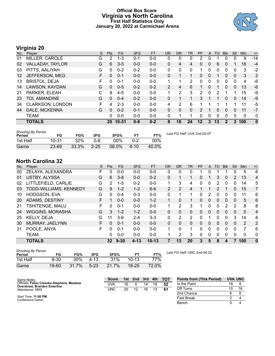### **Official Box Score Virginia vs North Carolina First Half Statistics Only January 20, 2022 at Carmichael Arena**



### **Virginia 20**

| No.               | Plaver                  | S  | <b>Pts</b> | FG        | 3FG     | <b>FT</b> | <b>OR</b>      | <b>DR</b> | TR       | PF            | A        | TO | <b>Blk</b>     | Stl      | Min | $+/-$        |
|-------------------|-------------------------|----|------------|-----------|---------|-----------|----------------|-----------|----------|---------------|----------|----|----------------|----------|-----|--------------|
| 01                | MILLER, CAROLE          | G  | 2          | $1 - 3$   | $0 - 1$ | $0-0$     | 0              | 0         | 0        | 2             | 0        |    | 0              | 0        | 9   | $-14$        |
| 02                | VALLADAY, TAYLOR        | G  | 6          | $3 - 5$   | $0 - 0$ | $0 - 0$   | 0              | 4         | 4        | 0             | 0        | 6  | 0              |          | 18  | $-4$         |
| 03                | PITTS, AALIYAH          | G  | 0          | $0 - 2$   | $0 - 2$ | $0-0$     | $\Omega$       | 0         | 0        |               | 0        | 0  | 0              | 0        | 3   | $-2$         |
| $12 \overline{ }$ | JEFFERSON, MEG          | F. | 0          | $0 - 1$   | $0 - 0$ | $0 - 0$   | 0              |           |          | $\Omega$      | 0        |    | $\mathbf{0}$   | $\Omega$ | 3   | 2            |
| 13                | <b>BRISTOL, DEJA</b>    | F. | 0          | $0 - 1$   | $0 - 0$ | $0-0$     | 1.             | 1         | 2        | 0             | 0        | 0  | 0              | $\Omega$ | 4   | -6           |
| 14                | LAWSON, KAYDAN          | G  | 0          | $0 - 5$   | $0 - 2$ | $0 - 2$   | $\overline{2}$ | 4         | 6        |               | $\Omega$ |    | $\Omega$       | $\Omega$ | 13  | $-6$         |
| 21                | PARKER, ELEAH           | С  | 8          | $4 - 5$   | $0 - 0$ | $0 - 0$   | 1.             | 2         | 3        | $\mathcal{P}$ | 0        | 2  |                |          | 15  | -9           |
| 23                | TOI, AMANDINE           | G  | $\Omega$   | $0 - 4$   | $0 - 2$ | $0 - 0$   | 0              |           |          | 3             |          |    | $\overline{0}$ | 0        | 14  | $-9$         |
| 34                | <b>CLARKSON, LONDON</b> | F. | 4          | $2 - 3$   | $0 - 0$ | $0 - 0$   | 4              | 2         | 6        |               |          |    |                |          | 11  | -5           |
| 44                | DALE, MCKENNA           | G  | $\Omega$   | $0 - 2$   | $0 - 1$ | $0-0$     | 0              | 0         | $\Omega$ | $\mathcal{P}$ |          | 0  | $\Omega$       | 0        | 11  | $-7$         |
|                   | <b>TEAM</b>             |    | 0          | $0 - 0$   | $0 - 0$ | $0 - 0$   | $\Omega$       |           |          | 0             | 0        | 0  | 0              | $\Omega$ | 0   | 0            |
|                   | <b>TOTALS</b>           |    | 20         | $10 - 31$ | $0 - 8$ | $0 - 2$   | 8              | 16        | 24       | 12            | 3        | 13 | $\mathbf{2}$   | 3        | 100 | $\mathbf{0}$ |

| <b>Shooting By Period</b><br>Period | FG        | FG%   | 3FG      | 3FG%     | FТ       | FT%   | Last FG Half: UVA 2nd-02:07 |
|-------------------------------------|-----------|-------|----------|----------|----------|-------|-----------------------------|
| 1st Half                            | $10 - 31$ | 32%   | 0-8      | 00%      | 0-2      | 00%   |                             |
| Game                                | $23 - 69$ | 33.3% | $2 - 25$ | $08.0\%$ | $4 - 10$ | 40.0% |                             |

### **North Carolina 32**

| No. | Player                  | S  | Pts      | <b>FG</b> | 3FG      | <b>FT</b> | <b>OR</b>    | <b>DR</b> | TR       | <b>PF</b> | A        | <b>TO</b> | <b>Blk</b>   | Stl      | Min      | $+/-$          |
|-----|-------------------------|----|----------|-----------|----------|-----------|--------------|-----------|----------|-----------|----------|-----------|--------------|----------|----------|----------------|
| 00  | ZELAYA, ALEXANDRA       | F. | 0        | $0 - 0$   | $0 - 0$  | $0 - 0$   | 0            | 0         | 0        |           | 0        |           |              | 0        | 5        | 6              |
| 01  | <b>USTBY, ALYSSA</b>    | G  | 6        | $3 - 8$   | $0 - 0$  | $0 - 2$   | 0            |           |          | $\Omega$  |          | 3         | 0            | 2        | 13       | 4              |
| 02  | LITTLEFIELD, CARLIE     | G  | 2        | $1 - 5$   | $0 - 2$  | $0 - 0$   |              | 3         | 4        | 0         | 0        | 2         | 0            | 0        | 14       | 5              |
| 03  | TODD-WILLIAMS, KENNEDY  | G  | 9        | $1 - 2$   | $1 - 2$  | $6-6$     | 2            | 2         | 4        |           |          | 2         |              | 0        | 15       | 7              |
| 10  | <b>HODGSON, EVA</b>     | G  | 0        | $0 - 4$   | $0 - 3$  | $0 - 0$   | $\mathbf{0}$ |           | 1        | 0         | 2        | 0         | 0            | 0        | 11       | 6              |
| 20  | ADAMS, DESTINY          | F  |          | $0 - 0$   | $0 - 0$  | $1 - 2$   |              | 0         |          | $\Omega$  | 0        | 0         | 0            | $\Omega$ | 5        | 6              |
| 21  | TSHITENGE, MALU         | F. | 0        | $0 - 1$   | $0 - 0$  | $0 - 0$   |              | 2         | 3        |           | 0        | 0         | $\mathbf{2}$ | 2        | 8        | 8              |
| 24  | <b>WIGGINS, MORASHA</b> | G  | 3        | $1 - 2$   | $1 - 2$  | $0 - 0$   | $\Omega$     | 0         | $\Omega$ | 0         | 0        | 0         | $\Omega$     | 0        | 5        | $\overline{4}$ |
| 25  | <b>KELLY, DEJA</b>      | G  | 11       | $3-6$     | 2-4      | $3 - 3$   | $\Omega$     | 2         | 2        | $\Omega$  |          | 0         | 0            | 3        | 14       | 8              |
| 30  | MURRAY, JAELYNN         | F. | $\Omega$ | $0 - 1$   | $0 - 0$  | $0 - 0$   | $\Omega$     | 0         | $\Omega$ | $\Omega$  | 0        | 0         | $\Omega$     | $\Omega$ | 2        | 2              |
| 31  | POOLE, ANYA             | F. | 0        | $0 - 1$   | $0 - 0$  | $0 - 0$   | 1            | 0         | 1        | 0         | $\Omega$ | $\Omega$  | 0            | $\Omega$ | 7        | 6              |
|     | <b>TEAM</b>             |    | 0        | $0 - 0$   | $0 - 0$  | $0 - 0$   |              | 2         | 3        | $\Omega$  | 0        | 0         | 0            | $\Omega$ | $\Omega$ | 0              |
|     | <b>TOTALS</b>           |    |          | 32 9-30   | $4 - 13$ | $10 - 13$ |              | 13        | 20       | 3         | 5        | 8         | 4            |          | 100      | $\mathbf 0$    |

| <b>Shooting By Period</b><br>Period | FG       | FG%   | 3FG    | 3FG%  | FТ        | FT%   |  |
|-------------------------------------|----------|-------|--------|-------|-----------|-------|--|
| 1st Half                            | $9 - 30$ | 30%   | 4-13   | 31%   | $10-13$   | 77%   |  |
| Game                                | 19-60    | 31.7% | $5-23$ | 21.7% | $18 - 25$ | 72.0% |  |

*Last FG Half:* UNC 2nd-04:22

| Game Notes:                                                                       | <b>Score</b> |    | 1st 2nd | 3rd | 4th | <b>TOT</b> | <b>Points from (This Period)</b> |    | <b>UVA UNC</b> |
|-----------------------------------------------------------------------------------|--------------|----|---------|-----|-----|------------|----------------------------------|----|----------------|
| Officials: Fatou Cissoko-Stephens, Meadow<br><b>Overstreet, Brandon Enterline</b> | UVA          | 16 |         | 14  | 18  | 52         | In the Paint                     | 16 |                |
| Attendance: 1513                                                                  | <b>UNC</b>   | 20 | 12      | 16  |     | -61        | Off Turns                        | 10 | 18             |
|                                                                                   |              |    |         |     |     |            | 2nd Chance                       |    |                |
| Start Time: 11:00 PM<br>Conference Game:                                          |              |    |         |     |     |            | <b>Fast Break</b>                |    |                |
|                                                                                   |              |    |         |     |     |            | Bench                            |    |                |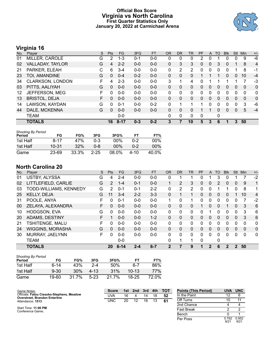### **Official Box Score Virginia vs North Carolina First Quarter Statistics Only January 20, 2022 at Carmichael Arena**



## **Virginia 16**

| No. | Player               | S  | <b>Pts</b> | <b>FG</b> | 3FG     | <b>FT</b> | <b>OR</b> | <b>DR</b>    | TR | PF       | A            | <b>TO</b> | <b>Blk</b> | Stl          | Min          | $+/-$          |
|-----|----------------------|----|------------|-----------|---------|-----------|-----------|--------------|----|----------|--------------|-----------|------------|--------------|--------------|----------------|
| 01  | MILLER, CAROLE       | G  | 2          | $1 - 3$   | $0 - 1$ | $0 - 0$   | 0         | 0            | 0  | 2        | 0            |           |            | 0            | 9            | -6             |
| 02  | VALLADAY, TAYLOR     | G  | 4          | $2 - 2$   | $0 - 0$ | $0 - 0$   | 0         | 3            | 3  | 0        | $\mathbf{0}$ | 3         | 0          |              | 8            | $\overline{4}$ |
| 21  | PARKER, ELEAH        | С  | 6          | $3 - 4$   | $0 - 0$ | $0-0$     | 0         | 2            | 2  | 0        | 0            | 0         | 0          |              | 8            | -1             |
| 23  | TOI, AMANDINE        | G  | 0          | $0 - 4$   | $0 - 2$ | $0 - 0$   | $\Omega$  | $\Omega$     | 0  |          |              |           | 0          | $\mathbf{0}$ | 10           | $-4$           |
| 34  | CLARKSON, LONDON     | F. | 4          | $2 - 3$   | $0 - 0$ | $0-0$     | 3         |              | 4  | 0        |              |           |            |              | 7            | -3             |
| 03  | PITTS, AALIYAH       | G  | 0          | $0 - 0$   | $0 - 0$ | $0 - 0$   | $\Omega$  | $\Omega$     | 0  | $\Omega$ | $\mathbf{0}$ | 0         | $\Omega$   | $\Omega$     | $\Omega$     | $\mathbf{0}$   |
| 12  | JEFFERSON, MEG       | F  | 0          | $0 - 0$   | $0 - 0$ | $0 - 0$   | 0         | $\Omega$     | 0  | 0        | 0            | $\Omega$  | 0          | $\Omega$     | $\Omega$     | $\mathbf{0}$   |
| 13  | <b>BRISTOL, DEJA</b> | F. | 0          | $0 - 0$   | $0 - 0$ | $0 - 0$   | 0         | $\Omega$     | 0  | $\Omega$ | $\mathbf{0}$ | $\Omega$  | $\Omega$   | 0            | $\mathbf{0}$ | $\mathbf{0}$   |
| 14  | LAWSON, KAYDAN       | G  | 0          | $0 - 1$   | $0 - 0$ | $0 - 2$   | $\Omega$  |              |    |          | 0            | 0         | 0          | $\Omega$     | 3            | -6             |
| 44  | DALE, MCKENNA        | G  | 0          | $0 - 0$   | $0 - 0$ | $0 - 0$   | 0         | 0            | 0  |          |              | 0         | 0          | $\mathbf{0}$ | 5            | $-4$           |
|     | <b>TEAM</b>          |    |            | $0 - 0$   |         |           | $\Omega$  | $\mathbf{0}$ | 0  | 0        |              | 0         |            |              |              |                |
|     | <b>TOTALS</b>        |    | 16         | $8 - 17$  | $0 - 3$ | $0 - 2$   | 3         | 7            | 10 | 5        | 3            | 6         | 1          | 3            | 50           |                |

| <b>Shooting By Period</b> |           |       |          |        |         |       |
|---------------------------|-----------|-------|----------|--------|---------|-------|
| Period                    | FG        | FG%   | 3FG      | 3FG%   | FТ      | FT%   |
| 1st Half                  | 8-17      | 47%   | 0-3      | $00\%$ | $0 - 2$ | 00%   |
| 1st Half                  | $10 - 31$ | 32%   | ი-გ      | $00\%$ | $0 - 2$ | 00%   |
| Game                      | 23-69     | 33.3% | $2 - 25$ | 08.0%  | 4-10    | 40.0% |

### **North Carolina 20**

| No. | Plaver                  | S  | Pts      | <b>FG</b> | 3FG     | <b>FT</b> | <b>OR</b>    | <b>DR</b>      | <b>TR</b>    | PF | A            | TO       | <b>Blk</b>     | Stl          | Min      | $+/-$          |
|-----|-------------------------|----|----------|-----------|---------|-----------|--------------|----------------|--------------|----|--------------|----------|----------------|--------------|----------|----------------|
| 01  | <b>USTBY, ALYSSA</b>    | G  | 4        | $2 - 4$   | $0 - 0$ | $0 - 0$   | 0            |                |              | 0  |              | 3        | 0              |              |          | $-2$           |
| 02  | LITTLEFIELD, CARLIE     | G  | 2        | $1 - 4$   | $0 - 1$ | $0 - 0$   |              | $\overline{2}$ | 3            | 0  | 0            | 2        | 0              | $\mathbf{0}$ | 9        | 1              |
| 03  | TODD-WILLIAMS, KENNEDY  | G  | 2        | $0 - 1$   | $0 - 1$ | $2 - 2$   | 0            | 2              | 2            | 0  | 0            |          | 1              | 0            | 8        | 1              |
| 25  | KELLY, DEJA             | G  | 11       | $3 - 4$   | $2 - 2$ | $3 - 3$   | 0            |                | 1            | 0  | $\mathbf{0}$ | 0        | 0              |              | 10       | 4              |
| 31  | POOLE, ANYA             | F  | 0        | $0 - 1$   | $0 - 0$ | $0 - 0$   | 1            | 0              | 1            | 0  | 0            | 0        | 0              | 0            | 7        | $-2$           |
| 00  | ZELAYA, ALEXANDRA       | F. | $\Omega$ | $0 - 0$   | $0 - 0$ | $0 - 0$   | $\Omega$     | $\Omega$       | $\Omega$     |    | $\Omega$     | $\Omega$ |                | $\Omega$     | 3        | 6              |
| 10  | <b>HODGSON, EVA</b>     | G  | $\Omega$ | $0 - 0$   | $0 - 0$ | $0 - 0$   | 0            | 0              | $\mathbf{0}$ | 0  |              | 0        | 0              | 0            | 3        | 6              |
| 20  | ADAMS, DESTINY          | F  |          | $0 - 0$   | $0 - 0$ | $1 - 2$   | 0            | 0              | $\Omega$     | 0  | 0            | $\Omega$ | $\Omega$       | $\Omega$     | 3        | 6              |
| 21  | TSHITENGE, MALU         | F  | $\Omega$ | $0 - 0$   | $0 - 0$ | $0 - 0$   | 0            | 0              | 0            | 0  | 0            | ∩        | 0              | 0            | 0        | $\mathbf{0}$   |
| 24  | <b>WIGGINS, MORASHA</b> | G  | $\Omega$ | $0 - 0$   | $0 - 0$ | $0 - 0$   | $\Omega$     | 0              | $\Omega$     | 0  | $\Omega$     | $\Omega$ | 0              | $\Omega$     | $\Omega$ | $\overline{0}$ |
| 30  | MURRAY, JAELYNN         | F. | $\Omega$ | $0 - 0$   | $0 - 0$ | $0 - 0$   | 0            | 0              | $\Omega$     | 0  | 0            | $\Omega$ | 0              | $\Omega$     | $\Omega$ | $\mathbf{0}$   |
|     | <b>TEAM</b>             |    |          | $0 - 0$   |         |           | 0            | 1              | 1            | 0  |              | 0        |                |              |          |                |
|     | <b>TOTALS</b>           |    | 20       | $6 - 14$  | $2 - 4$ | $6 - 7$   | $\mathbf{2}$ |                | 9            |    | 2            | 6        | $\overline{2}$ | 2            | 50       |                |

| <b>Shooting By Period</b><br>Period | FG       | FG%   | 3FG    | 3FG%  | FТ        | FT%        |
|-------------------------------------|----------|-------|--------|-------|-----------|------------|
| 1st Half                            | հ-14     | 43%   | 2-4    | 50%   | 6-7       | 86%        |
| 1st Half                            | $9 - 30$ | 30%   | 4-13   | 31%   | $10-13$   | <b>77%</b> |
| Game                                | 19-60    | 31.7% | $5-23$ | 21 7% | $18 - 25$ | 72.0%      |

| Game Notes:                                                                       | <b>Score</b> | 1st | 2nd | 3rd | 4th | <b>TOT</b> | <b>Points (This Period)</b> | <b>UVA</b>    | <b>UNC</b>    |
|-----------------------------------------------------------------------------------|--------------|-----|-----|-----|-----|------------|-----------------------------|---------------|---------------|
| Officials: Fatou Cissoko-Stephens, Meadow<br><b>Overstreet, Brandon Enterline</b> | UVA          | 16  |     | 14  | 18  | 52         | In the Paint                |               |               |
| Attendance: 1513                                                                  | <b>UNC</b>   | 20  | 12  | 16  |     | 61         | Off Turns                   |               | 11            |
|                                                                                   |              |     |     |     |     |            | 2nd Chance                  |               |               |
| Start Time: 11:00 PM<br>Conference Game:                                          |              |     |     |     |     |            | <b>Fast Break</b>           |               |               |
|                                                                                   |              |     |     |     |     |            | Bench                       |               |               |
|                                                                                   |              |     |     |     |     |            | Per Poss                    | 0.762<br>8/21 | 0.952<br>9/21 |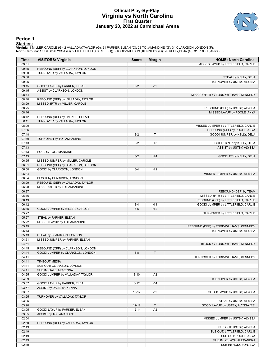### **Official Play-By-Play Virginia vs North Carolina First Quarter January 20, 2022 at Carmichael Arena**



#### **Period 1**

<mark>Startersː</mark><br>Virginia: 1 MILLER,CAROLE (G); 2 VALLADAY,TAYLOR (G); 21 PARKER,ELEAH (C); 23 TOI,AMANDINE (G); 34 CLARKSON,LONDON (F);<br>North Carolina: 1 USTBY,ALYSSA (G); 2 LITTLEFIELD,CARLIE (G); 3 TODD-WILLIAMS,KENNEDY (G);

| <b>Time</b>    | <b>VISITORS: Virginia</b>         | <b>Score</b>     | <b>Margin</b>        | <b>HOME: North Carolina</b>                                   |
|----------------|-----------------------------------|------------------|----------------------|---------------------------------------------------------------|
| 09:51          |                                   |                  |                      | MISSED LAYUP by LITTLEFIELD, CARLIE                           |
| 09:45          | REBOUND (DEF) by CLARKSON, LONDON |                  |                      |                                                               |
| 09:30          | TURNOVER by VALLADAY, TAYLOR      |                  |                      |                                                               |
| 09:30          |                                   |                  |                      | STEAL by KELLY, DEJA                                          |
| 09:26          |                                   |                  |                      | TURNOVER by USTBY, ALYSSA                                     |
| 09:15          | GOOD! LAYUP by PARKER, ELEAH      | $0 - 2$          | V <sub>2</sub>       |                                                               |
| 09:15          | ASSIST by CLARKSON, LONDON        |                  |                      |                                                               |
| 08:44          |                                   |                  |                      | MISSED 3PTR by TODD-WILLIAMS, KENNEDY                         |
| 08:40          | REBOUND (DEF) by VALLADAY, TAYLOR |                  |                      |                                                               |
| 08:29<br>08:25 | MISSED 3PTR by MILLER, CAROLE     |                  |                      |                                                               |
| 08:16          |                                   |                  |                      | REBOUND (DEF) by USTBY, ALYSSA<br>MISSED LAYUP by POOLE, ANYA |
| 08:12          | REBOUND (DEF) by PARKER, ELEAH    |                  |                      |                                                               |
| 08:11          | TURNOVER by VALLADAY, TAYLOR      |                  |                      |                                                               |
| 08:00          |                                   |                  |                      | MISSED JUMPER by LITTLEFIELD, CARLIE                          |
| 07:56          |                                   |                  |                      | REBOUND (OFF) by POOLE, ANYA                                  |
| 07:48          |                                   | $2 - 2$          | Τ                    | GOOD! JUMPER by KELLY, DEJA                                   |
| 07:30          | TURNOVER by TOI, AMANDINE         |                  |                      |                                                               |
| 07:13          |                                   | $5-2$            | $H_3$                | GOOD! 3PTR by KELLY, DEJA                                     |
| 07:13          |                                   |                  |                      | ASSIST by USTBY, ALYSSA                                       |
| 07:13          | FOUL by TOI, AMANDINE             |                  |                      |                                                               |
| 07:13          |                                   | $6 - 2$          | H4                   | GOOD! FT by KELLY, DEJA                                       |
| 06:55          | MISSED JUMPER by MILLER, CAROLE   |                  |                      |                                                               |
| 06:51          | REBOUND (OFF) by CLARKSON, LONDON |                  |                      |                                                               |
| 06:50          | GOOD! by CLARKSON, LONDON         | $6 - 4$          | H <sub>2</sub>       |                                                               |
| 06:34          |                                   |                  |                      | MISSED JUMPER by USTBY, ALYSSA                                |
| 06:34          | BLOCK by CLARKSON, LONDON         |                  |                      |                                                               |
| 06:29          | REBOUND (DEF) by VALLADAY, TAYLOR |                  |                      |                                                               |
| 06:28          | MISSED 3PTR by TOI, AMANDINE      |                  |                      |                                                               |
| 06:27          |                                   |                  |                      | REBOUND (DEF) by TEAM                                         |
| 06:16          |                                   |                  |                      | MISSED 3PTR by LITTLEFIELD, CARLIE                            |
| 06:13          |                                   |                  |                      | REBOUND (OFF) by LITTLEFIELD, CARLIE                          |
| 06:12<br>05:45 | GOOD! JUMPER by MILLER, CAROLE    | $8 - 4$<br>$8-6$ | H4<br>H <sub>2</sub> | GOOD! JUMPER by LITTLEFIELD, CARLIE                           |
| 05:27          |                                   |                  |                      | TURNOVER by LITTLEFIELD, CARLIE                               |
| 05:27          | STEAL by PARKER, ELEAH            |                  |                      |                                                               |
| 05:22          | MISSED LAYUP by TOI, AMANDINE     |                  |                      |                                                               |
| 05:19          |                                   |                  |                      | REBOUND (DEF) by TODD-WILLIAMS, KENNEDY                       |
| 05:13          |                                   |                  |                      | TURNOVER by USTBY, ALYSSA                                     |
| 05:13          | STEAL by CLARKSON, LONDON         |                  |                      |                                                               |
| 04:51          | MISSED JUMPER by PARKER, ELEAH    |                  |                      |                                                               |
| 04:51          |                                   |                  |                      | BLOCK by TODD-WILLIAMS, KENNEDY                               |
| 04:45          | REBOUND (OFF) by CLARKSON, LONDON |                  |                      |                                                               |
| 04:44          | GOOD! JUMPER by CLARKSON, LONDON  | $8 - 8$          | T                    |                                                               |
| 04:41          |                                   |                  |                      | TURNOVER by TODD-WILLIAMS, KENNEDY                            |
| 04:41          | <b>TIMEOUT MEDIA</b>              |                  |                      |                                                               |
| 04:41          | SUB OUT: CLARKSON, LONDON         |                  |                      |                                                               |
| 04:41          | SUB IN: DALE, MCKENNA             |                  |                      |                                                               |
| 04:25          | GOOD! JUMPER by VALLADAY, TAYLOR  | $8 - 10$         | V <sub>2</sub>       |                                                               |
| 04:09          |                                   |                  |                      | TURNOVER by USTBY, ALYSSA                                     |
| 03:57          | GOOD! LAYUP by PARKER, ELEAH      | $8 - 12$         | V <sub>4</sub>       |                                                               |
| 03:57          | ASSIST by DALE, MCKENNA           |                  |                      |                                                               |
| 03:37          |                                   | $10 - 12$        | V <sub>2</sub>       | GOOD! LAYUP by USTBY, ALYSSA                                  |
| 03:25          | TURNOVER by VALLADAY, TAYLOR      |                  |                      |                                                               |
| 03:25          |                                   |                  |                      | STEAL by USTBY, ALYSSA                                        |
| 03:20<br>03:05 | GOOD! LAYUP by PARKER, ELEAH      | $12 - 12$        | T<br>V <sub>2</sub>  | GOOD! LAYUP by USTBY, ALYSSA [FB]                             |
| 03:05          | ASSIST by TOI, AMANDINE           | 12-14            |                      |                                                               |
| 02:54          |                                   |                  |                      | MISSED JUMPER by USTBY, ALYSSA                                |
| 02:50          | REBOUND (DEF) by VALLADAY, TAYLOR |                  |                      |                                                               |
| 02:49          |                                   |                  |                      | SUB OUT: USTBY, ALYSSA                                        |
| 02:49          |                                   |                  |                      | SUB OUT: LITTLEFIELD, CARLIE                                  |
| 02:49          |                                   |                  |                      | SUB OUT: POOLE, ANYA                                          |
| 02:49          |                                   |                  |                      | SUB IN: ZELAYA, ALEXANDRA                                     |
| 02:49          |                                   |                  |                      | SUB IN: HODGSON, EVA                                          |
|                |                                   |                  |                      |                                                               |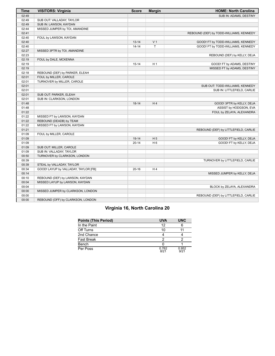| <b>Time</b> | <b>VISITORS: Virginia</b>            | <b>Score</b> | <b>Margin</b>  | <b>HOME: North Carolina</b>             |
|-------------|--------------------------------------|--------------|----------------|-----------------------------------------|
| 02:49       |                                      |              |                | SUB IN: ADAMS, DESTINY                  |
| 02:49       | SUB OUT: VALLADAY, TAYLOR            |              |                |                                         |
| 02:49       | SUB IN: LAWSON, KAYDAN               |              |                |                                         |
| 02:44       | MISSED JUMPER by TOI, AMANDINE       |              |                |                                         |
| 02:41       |                                      |              |                | REBOUND (DEF) by TODD-WILLIAMS, KENNEDY |
| 02:40       | FOUL by LAWSON, KAYDAN               |              |                |                                         |
| 02:40       |                                      | $13 - 14$    | V <sub>1</sub> | GOOD! FT by TODD-WILLIAMS, KENNEDY      |
| 02:40       |                                      | $14 - 14$    | $\mathsf{T}$   | GOOD! FT by TODD-WILLIAMS, KENNEDY      |
| 02:27       | MISSED 3PTR by TOI, AMANDINE         |              |                |                                         |
| 02:23       |                                      |              |                | REBOUND (DEF) by KELLY, DEJA            |
| 02:19       | FOUL by DALE, MCKENNA                |              |                |                                         |
| 02:19       |                                      | $15 - 14$    | H <sub>1</sub> | GOOD! FT by ADAMS, DESTINY              |
| 02:19       |                                      |              |                | MISSED FT by ADAMS, DESTINY             |
| 02:18       | REBOUND (DEF) by PARKER, ELEAH       |              |                |                                         |
| 02:01       | FOUL by MILLER, CAROLE               |              |                |                                         |
| 02:01       | TURNOVER by MILLER, CAROLE           |              |                |                                         |
| 02:01       |                                      |              |                | SUB OUT: TODD-WILLIAMS, KENNEDY         |
| 02:01       |                                      |              |                | SUB IN: LITTLEFIELD, CARLIE             |
| 02:01       | SUB OUT: PARKER, ELEAH               |              |                |                                         |
| 02:01       | SUB IN: CLARKSON, LONDON             |              |                |                                         |
| 01:48       |                                      | $18-14$      | H4             | GOOD! 3PTR by KELLY, DEJA               |
| 01:48       |                                      |              |                | ASSIST by HODGSON, EVA                  |
| 01:22       |                                      |              |                | FOUL by ZELAYA, ALEXANDRA               |
| 01:22       | MISSED FT by LAWSON, KAYDAN          |              |                |                                         |
| 01:22       | REBOUND (DEADB) by TEAM              |              |                |                                         |
| 01:22       | MISSED FT by LAWSON, KAYDAN          |              |                |                                         |
| 01:21       |                                      |              |                | REBOUND (DEF) by LITTLEFIELD, CARLIE    |
| 01:09       | FOUL by MILLER, CAROLE               |              |                |                                         |
| 01:09       |                                      | $19-14$      | H <sub>5</sub> | GOOD! FT by KELLY, DEJA                 |
| 01:09       |                                      | $20 - 14$    | H <sub>6</sub> | GOOD! FT by KELLY, DEJA                 |
| 01:09       | SUB OUT: MILLER, CAROLE              |              |                |                                         |
| 01:09       | SUB IN: VALLADAY, TAYLOR             |              |                |                                         |
| 00:50       | TURNOVER by CLARKSON, LONDON         |              |                |                                         |
| 00:39       |                                      |              |                | TURNOVER by LITTLEFIELD, CARLIE         |
| 00:39       | STEAL by VALLADAY, TAYLOR            |              |                |                                         |
| 00:34       | GOOD! LAYUP by VALLADAY, TAYLOR [FB] | $20 - 16$    | H4             |                                         |
| 00:14       |                                      |              |                | MISSED JUMPER by KELLY, DEJA            |
| 00:10       | REBOUND (DEF) by LAWSON, KAYDAN      |              |                |                                         |
| 00:04       | MISSED LAYUP by LAWSON, KAYDAN       |              |                |                                         |
| 00:04       |                                      |              |                | BLOCK by ZELAYA, ALEXANDRA              |
| 00:00       | MISSED JUMPER by CLARKSON, LONDON    |              |                |                                         |
| 00:00       |                                      |              |                | REBOUND (DEF) by LITTLEFIELD, CARLIE    |
| 00:00       | REBOUND (OFF) by CLARKSON, LONDON    |              |                |                                         |

# **Virginia 16, North Carolina 20**

| Points (This Period) | <b>UVA</b>    | <b>UNC</b>    |
|----------------------|---------------|---------------|
| In the Paint         | 12            |               |
| Off Turns            | 10            |               |
| 2nd Chance           |               |               |
| Fast Break           |               |               |
| Bench                |               |               |
| Per Poss             | 0.762<br>8/21 | 0.952<br>9/21 |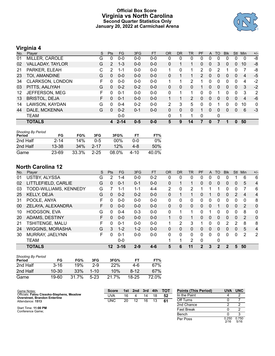### **Official Box Score Virginia vs North Carolina Second Quarter Statistics Only January 20, 2022 at Carmichael Arena**



## **Virginia 4**

| No. | Player                  | S | <b>Pts</b>     | <b>FG</b> | 3FG     | <b>FT</b> | <b>OR</b>      | <b>DR</b>    | <b>TR</b> | PF            | A            | <b>TO</b> | <b>Blk</b> | Stl      | Min            | $+/-$        |
|-----|-------------------------|---|----------------|-----------|---------|-----------|----------------|--------------|-----------|---------------|--------------|-----------|------------|----------|----------------|--------------|
| 01  | MILLER, CAROLE          | G | 0              | $0 - 0$   | $0 - 0$ | $0 - 0$   | 0              | 0            | 0         | 0             | 0            | $\Omega$  |            | 0        | 0              | -8           |
| 02  | VALLADAY, TAYLOR        | G | $\overline{2}$ | $1 - 3$   | $0 - 0$ | $0 - 0$   | $\Omega$       |              | 1         | 0             | $\mathbf 0$  | 3         | 0          | 0        | 10             | -8           |
| 21  | PARKER, ELEAH           | С | 2              | 1-1       | $0 - 0$ | $0 - 0$   | 1              | 0            | 1         | 2             | 0            | 2         |            | 0        |                | -8           |
| 23  | TOI, AMANDINE           | G | 0              | $0 - 0$   | $0-0$   | $0 - 0$   | $\Omega$       |              | 1.        | $\mathcal{P}$ | $\Omega$     | $\Omega$  | 0          | 0        | 4              | $-5$         |
| 34  | <b>CLARKSON, LONDON</b> | F | 0              | $0 - 0$   | $0 - 0$ | $0 - 0$   | 1              |              | 2         |               | 0            | $\Omega$  | 0          | 0        | 4              | $-2$         |
| 03  | PITTS, AALIYAH          | G | 0              | $0 - 2$   | $0 - 2$ | $0 - 0$   | $\Omega$       | 0            | 0         | 1             | $\mathbf{0}$ | $\Omega$  | $\Omega$   | $\Omega$ | 3              | $-2$         |
| 12  | JEFFERSON, MEG          | F | 0              | $0 - 1$   | $0 - 0$ | $0 - 0$   | 0              |              | 1         | 0             | 0            |           | 0          | 0        | 3              | 2            |
| 13  | <b>BRISTOL, DEJA</b>    | F | 0              | $0 - 1$   | $0 - 0$ | $0 - 0$   |                |              | 2         | 0             | $\Omega$     | $\Omega$  | 0          | $\Omega$ | $\overline{4}$ | -6           |
| 14  | LAWSON, KAYDAN          | G | $\Omega$       | $0 - 4$   | $0 - 2$ | $0 - 0$   | $\overline{2}$ | 3            | 5         | 0             | $\mathbf 0$  |           | 0          | 0        | 10             | $\mathbf{0}$ |
| 44  | DALE, MCKENNA           | G | 0              | $0 - 2$   | $0 - 1$ | $0 - 0$   | $\mathbf{0}$   | $\mathbf{0}$ | 0         |               | $\mathbf{0}$ | $\Omega$  | 0          | 0        | 6              | $-3$         |
|     | TEAM                    |   |                | $0 - 0$   |         |           | 0              |              | 1         | 0             |              | 0         |            |          |                |              |
|     | <b>TOTALS</b>           |   | 4              | $2 - 14$  | $0 - 5$ | $0 - 0$   | 5              | 9            | 14        | 7             | 0            |           |            | 0        | 50             |              |

| <b>Shooting By Period</b><br>Period | FG        | FG%   | 3FG      | 3FG%   | FТ   | FT%   |
|-------------------------------------|-----------|-------|----------|--------|------|-------|
| 2nd Half                            | $2 - 14$  | 14%   | $0 - 5$  | $00\%$ | ი-ი  | 0%    |
| 2nd Half                            | 13-38     | 34%   | $2 - 17$ | 12%    | 4-8  | 50%   |
| Game                                | $23 - 69$ | 33.3% | $2 - 25$ | 08.0%  | 4-10 | 40.0% |

### **North Carolina 12**

| No. | Player                  | S  | Pts             | FG.      | 3FG     | <b>FT</b> | <b>OR</b>    | <b>DR</b> | <b>TR</b> | <b>PF</b>   | A            | TO          | <b>B</b> lk | <b>Stl</b>   | Min | $+/-$          |
|-----|-------------------------|----|-----------------|----------|---------|-----------|--------------|-----------|-----------|-------------|--------------|-------------|-------------|--------------|-----|----------------|
| 01  | <b>USTBY, ALYSSA</b>    | G  | 2               | $1 - 4$  | $0 - 0$ | $0 - 2$   | 0            | 0         | 0         | 0           | 0            | 0           | 0           |              | 6   | 6              |
| 02  | LITTLEFIELD, CARLIE     | G  | 0               | $0 - 1$  | $0 - 1$ | $0 - 0$   | 0            |           | 1         | 0           | $\mathbf{0}$ | 0           | 0           | $\mathbf{0}$ | 5   | 4              |
| 03  | TODD-WILLIAMS, KENNEDY  | G  | 7               | $1 - 1$  | $1 - 1$ | $4 - 4$   | 2            | 0         | 2         |             |              |             | 0           | $\Omega$     | 7   | 6              |
| 25  | KELLY, DEJA             | G  | $\mathbf{0}$    | $0 - 2$  | $0 - 2$ | $0 - 0$   | 0            |           | 1         | 0           |              | 0           | 0           | 2            | 4   | 4              |
| 31  | POOLE, ANYA             | F  | 0               | $0 - 0$  | $0 - 0$ | $0 - 0$   | 0            | 0         | 0         | 0           | 0            | $\Omega$    | 0           | $\Omega$     | 0   | 8              |
| 00  | ZELAYA, ALEXANDRA       | F. | $\Omega$        | $0 - 0$  | $0 - 0$ | $0 - 0$   | $\Omega$     | $\Omega$  | $\Omega$  | 0           | $\Omega$     | 1           | $\Omega$    | $\Omega$     | 2   | $\overline{0}$ |
| 10  | HODGSON, EVA            | G  | $\Omega$        | $0 - 4$  | $0 - 3$ | $0 - 0$   | 0            |           | 1         | 0           |              | $\Omega$    | 0           | 0            | 8   | $\mathbf{0}$   |
| 20  | <b>ADAMS, DESTINY</b>   | F  | 0               | $0 - 0$  | $0 - 0$ | $0 - 0$   | $\mathbf{1}$ | 0         | 1         | 0           | $\mathbf{0}$ | $\Omega$    | $\Omega$    | $\Omega$     | 2   | $\mathbf{0}$   |
| 21  | TSHITENGE, MALU         | F  | $\Omega$        | $0 - 1$  | $0 - 0$ | $0 - 0$   | 1            | 2         | 3         |             | 0            | 0           | 2           | 2            | 8   | 8              |
| 24  | <b>WIGGINS, MORASHA</b> | G  | 3               | $1 - 2$  | $1 - 2$ | $0 - 0$   | $\Omega$     | 0         | $\Omega$  | 0           | $\Omega$     | $\Omega$    | 0           | $\Omega$     | 5   | $\overline{4}$ |
| 30  | MURRAY, JAELYNN         | F. | $\Omega$        | $0 - 1$  | $0 - 0$ | $0 - 0$   | 0            | 0         | $\Omega$  | 0           | 0            | $\Omega$    | 0           | 0            | 2   | 2              |
|     | <b>TEAM</b>             |    |                 | $0 - 0$  |         |           |              | 1         | 2         | 0           |              | 0           |             |              |     |                |
|     | <b>TOTALS</b>           |    | 12 <sup>2</sup> | $3 - 16$ | $2 - 9$ | $4-6$     | 5            | 6         | 11        | $\mathbf 2$ | 3            | $\mathbf 2$ | 2           | 5            | 50  |                |
|     |                         |    |                 |          |         |           |              |           |           |             |              |             |             |              |     |                |

| <b>Shooting By Period</b><br>Period | FG        | FG%   | 3FG      | 3FG%  | FТ        | FT%   |
|-------------------------------------|-----------|-------|----------|-------|-----------|-------|
| 2nd Half                            | $3 - 16$  | 19%   | $2-9$    | 22%   | 4-6       | 67%   |
| 2nd Half                            | $10 - 30$ | 33%   | $1 - 10$ | 10%   | $8 - 12$  | 67%   |
| Game                                | 19-60     | 31.7% | $5-23$   | 21.7% | $18 - 25$ | 72.0% |

| Game Notes:                                                                       | <b>Score</b> | 1st | 2nd | 3rd | 4th | <b>TOT</b> | <b>Points (This Period)</b> | <b>UVA</b>    | <b>UNC</b>    |
|-----------------------------------------------------------------------------------|--------------|-----|-----|-----|-----|------------|-----------------------------|---------------|---------------|
| Officials: Fatou Cissoko-Stephens, Meadow<br><b>Overstreet, Brandon Enterline</b> | UVA          | 16  |     | 14  | 18  | 52         | In the Paint                |               |               |
| Attendance: 1513                                                                  | <b>UNC</b>   | 20  | 12  | 16  |     | 61         | Off Turns                   |               |               |
|                                                                                   |              |     |     |     |     |            | 2nd Chance                  |               |               |
| Start Time: 11:00 PM<br>Conference Game:                                          |              |     |     |     |     |            | <b>Fast Break</b>           |               |               |
|                                                                                   |              |     |     |     |     |            | Bench                       |               |               |
|                                                                                   |              |     |     |     |     |            | Per Poss                    | 0.250<br>2/16 | 0.750<br>5/16 |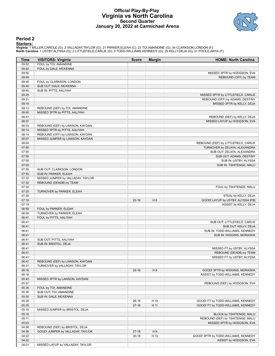### **Official Play-By-Play Virginia vs North Carolina Second Quarter January 20, 2022 at Carmichael Arena**



#### **Period 2**

#### **Starters:**

Virginia: 1 MILLER,CAROLE (G); 2 VALLADAY,TAYLOR (G); 21 PARKER,ELEAH (C); 23 TOI,AMANDINE (G); 34 CLARKSON,LONDON (F);<br>North Carolina: 1 USTBY,ALYSSA (G); 2 LITTLEFIELD,CARLIE (G); 3 TODD-WILLIAMS,KENNEDY (G); 25 KELLY,DE

| Time           | <b>VISITORS: Virginia</b>                           | <b>Score</b> | <b>Margin</b>  | <b>HOME: North Carolina</b>                          |
|----------------|-----------------------------------------------------|--------------|----------------|------------------------------------------------------|
| 09:52          | FOUL by TOI, AMANDINE                               |              |                |                                                      |
| 09:52          | FOUL by DALE, MCKENNA                               |              |                |                                                      |
| 09:50          |                                                     |              |                | MISSED 3PTR by HODGSON, EVA                          |
| 09:49          |                                                     |              |                | REBOUND (OFF) by TEAM                                |
| 09:40          | FOUL by CLARKSON, LONDON                            |              |                |                                                      |
| 09:40          | SUB OUT: DALE, MCKENNA                              |              |                |                                                      |
| 09:40          | SUB IN: PITTS, AALIYAH                              |              |                |                                                      |
| 09:25          |                                                     |              |                | MISSED 3PTR by LITTLEFIELD, CARLIE                   |
| 09:21          |                                                     |              |                | REBOUND (OFF) by ADAMS, DESTINY                      |
| 09:18          |                                                     |              |                | MISSED 3PTR by KELLY, DEJA                           |
| 09:13          | REBOUND (DEF) by TOI, AMANDINE                      |              |                |                                                      |
| 08:45          | MISSED 3PTR by PITTS, AALIYAH                       |              |                |                                                      |
| 08:41          |                                                     |              |                | REBOUND (DEF) by KELLY, DEJA                         |
| 08:37          |                                                     |              |                | MISSED LAYUP by HODGSON, EVA                         |
| 08:33          | REBOUND (DEF) by LAWSON, KAYDAN                     |              |                |                                                      |
| 08:14          | MISSED 3PTR by PITTS, AALIYAH                       |              |                |                                                      |
| 08:14          | REBOUND (OFF) by LAWSON, KAYDAN                     |              |                |                                                      |
| 08:07          | MISSED JUMPER by LAWSON, KAYDAN                     |              |                |                                                      |
| 08:04          |                                                     |              |                | REBOUND (DEF) by LITTLEFIELD, CARLIE                 |
| 07:55          |                                                     |              |                | TURNOVER by ZELAYA, ALEXANDRA                        |
| 07:55          |                                                     |              |                | SUB OUT: ZELAYA, ALEXANDRA                           |
| 07:55          |                                                     |              |                | SUB OUT: ADAMS, DESTINY                              |
| 07:55          |                                                     |              |                | SUB IN: USTBY, ALYSSA                                |
| 07:55          |                                                     |              |                | SUB IN: TSHITENGE, MALU                              |
| 07:55          | SUB OUT: CLARKSON, LONDON                           |              |                |                                                      |
| 07:55          | SUB IN: PARKER, ELEAH                               |              |                |                                                      |
| 07:32          | MISSED JUMPER by VALLADAY, TAYLOR                   |              |                |                                                      |
| 07:32          | REBOUND (DEADB) by TEAM                             |              |                |                                                      |
| 07:32          |                                                     |              |                | FOUL by TSHITENGE, MALU                              |
| 07:25          | TURNOVER by PARKER, ELEAH                           |              |                |                                                      |
| 07:25          |                                                     |              |                | STEAL by KELLY, DEJA                                 |
| 07:19          |                                                     | $22 - 16$    | H <sub>6</sub> | GOOD! LAYUP by USTBY, ALYSSA [FB]                    |
| 07:19          |                                                     |              |                | ASSIST by KELLY, DEJA                                |
| 06:59<br>06:59 | FOUL by PARKER, ELEAH                               |              |                |                                                      |
| 06:41          | TURNOVER by PARKER, ELEAH<br>FOUL by PITTS, AALIYAH |              |                |                                                      |
| 06:41          |                                                     |              |                |                                                      |
| 06:41          |                                                     |              |                | SUB OUT: LITTLEFIELD, CARLIE<br>SUB OUT: KELLY, DEJA |
| 06:41          |                                                     |              |                | SUB IN: TODD-WILLIAMS, KENNEDY                       |
| 06:41          |                                                     |              |                | SUB IN: WIGGINS, MORASHA                             |
| 06:41          | SUB OUT: PITTS, AALIYAH                             |              |                |                                                      |
| 06:41          | SUB IN: BRISTOL, DEJA                               |              |                |                                                      |
| 06:41          |                                                     |              |                | MISSED FT by USTBY, ALYSSA                           |
| 06:41          |                                                     |              |                | REBOUND (DEADB) by TEAM                              |
| 06:41          |                                                     |              |                | MISSED FT by USTBY, ALYSSA                           |
| 06:41          | REBOUND (DEF) by LAWSON, KAYDAN                     |              |                |                                                      |
| 06:31          | TURNOVER by VALLADAY, TAYLOR                        |              |                |                                                      |
| 06:16          |                                                     | $25 - 16$    | H9             | GOOD! 3PTR by WIGGINS, MORASHA                       |
| 06:16          |                                                     |              |                | ASSIST by TODD-WILLIAMS, KENNEDY                     |
| 05:43          | MISSED 3PTR by LAWSON, KAYDAN                       |              |                |                                                      |
| 05:37          |                                                     |              |                | REBOUND (DEF) by HODGSON, EVA                        |
| 05:35          | FOUL by TOI, AMANDINE                               |              |                |                                                      |
| 05:35          | SUB OUT: TOI, AMANDINE                              |              |                |                                                      |
| 05:35          | SUB IN: DALE, MCKENNA                               |              |                |                                                      |
| 05:35          |                                                     | $26-16$      | H 10           | GOOD! FT by TODD-WILLIAMS, KENNEDY                   |
| 05:35          |                                                     | $27-16$      | H 11           | GOOD! FT by TODD-WILLIAMS, KENNEDY                   |
| 05:18          | MISSED JUMPER by BRISTOL, DEJA                      |              |                |                                                      |
| 05:18          |                                                     |              |                | BLOCK by TSHITENGE, MALU                             |
| 05:11          |                                                     |              |                | REBOUND (DEF) by TSHITENGE, MALU                     |
| 05:03          |                                                     |              |                | MISSED 3PTR by HODGSON, EVA                          |
| 04:58          | REBOUND (DEF) by BRISTOL, DEJA                      |              |                |                                                      |
| 04:38          | GOOD! JUMPER by VALLADAY, TAYLOR                    | $27-18$      | H9             |                                                      |
| 04:22          |                                                     | $30 - 18$    | H 12           | GOOD! 3PTR by TODD-WILLIAMS, KENNEDY                 |
| 04:22          |                                                     |              |                | ASSIST by HODGSON, EVA                               |
| 04:01          | MISSED LAYUP by VALLADAY, TAYLOR                    |              |                |                                                      |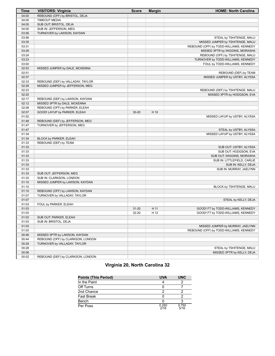| <b>Time</b> | <b>VISITORS: Virginia</b>         | <b>Score</b> | <b>Margin</b> | <b>HOME: North Carolina</b>             |
|-------------|-----------------------------------|--------------|---------------|-----------------------------------------|
| 04:00       | REBOUND (OFF) by BRISTOL, DEJA    |              |               |                                         |
| 04:00       | <b>TIMEOUT MEDIA</b>              |              |               |                                         |
| 04:00       | SUB OUT: BRISTOL, DEJA            |              |               |                                         |
| 04:00       | SUB IN: JEFFERSON, MEG            |              |               |                                         |
| 03:56       | TURNOVER by LAWSON, KAYDAN        |              |               |                                         |
| 03:56       |                                   |              |               | STEAL by TSHITENGE, MALU                |
| 03:35       |                                   |              |               | MISSED JUMPER by TSHITENGE, MALU        |
| 03:31       |                                   |              |               | REBOUND (OFF) by TODD-WILLIAMS, KENNEDY |
| 03:28       |                                   |              |               | MISSED 3PTR by WIGGINS, MORASHA         |
| 03:24       |                                   |              |               | REBOUND (OFF) by TSHITENGE, MALU        |
| 03:23       |                                   |              |               | TURNOVER by TODD-WILLIAMS, KENNEDY      |
| 03:00       |                                   |              |               | FOUL by TODD-WILLIAMS, KENNEDY          |
| 02:53       | MISSED JUMPER by DALE, MCKENNA    |              |               |                                         |
| 02:51       |                                   |              |               | REBOUND (DEF) by TEAM                   |
| 02:37       |                                   |              |               | MISSED JUMPER by USTBY, ALYSSA          |
| 02:33       | REBOUND (DEF) by VALLADAY, TAYLOR |              |               |                                         |
| 02:28       | MISSED JUMPER by JEFFERSON, MEG   |              |               |                                         |
| 02:23       |                                   |              |               | REBOUND (DEF) by TSHITENGE, MALU        |
| 02:20       |                                   |              |               | MISSED 3PTR by HODGSON, EVA             |
| 02:17       | REBOUND (DEF) by LAWSON, KAYDAN   |              |               |                                         |
| 02:12       | MISSED 3PTR by DALE, MCKENNA      |              |               |                                         |
| 02:08       | REBOUND (OFF) by PARKER, ELEAH    |              |               |                                         |
| 02:07       | GOOD! LAYUP by PARKER, ELEAH      | $30 - 20$    | H 10          |                                         |
| 01:52       |                                   |              |               | MISSED LAYUP by USTBY, ALYSSA           |
| 01:48       | REBOUND (DEF) by JEFFERSON, MEG   |              |               |                                         |
| 01:47       | TURNOVER by JEFFERSON, MEG        |              |               |                                         |
| 01:47       |                                   |              |               | STEAL by USTBY, ALYSSA                  |
| 01:34       |                                   |              |               | MISSED LAYUP by USTBY, ALYSSA           |
| 01:34       | BLOCK by PARKER, ELEAH            |              |               |                                         |
| 01:33       | REBOUND (DEF) by TEAM             |              |               |                                         |
| 01:33       |                                   |              |               | SUB OUT: USTBY, ALYSSA                  |
| 01:33       |                                   |              |               | SUB OUT: HODGSON, EVA                   |
| 01:33       |                                   |              |               | SUB OUT: WIGGINS, MORASHA               |
| 01:33       |                                   |              |               | SUB IN: LITTLEFIELD, CARLIE             |
| 01:33       |                                   |              |               | SUB IN: KELLY, DEJA                     |
| 01:33       |                                   |              |               | SUB IN: MURRAY, JAELYNN                 |
| 01:33       | SUB OUT: JEFFERSON, MEG           |              |               |                                         |
| 01:33       | SUB IN: CLARKSON, LONDON          |              |               |                                         |
| 01:10       | MISSED JUMPER by LAWSON, KAYDAN   |              |               |                                         |
| 01:10       |                                   |              |               | BLOCK by TSHITENGE, MALU                |
| 01:10       | REBOUND (OFF) by LAWSON, KAYDAN   |              |               |                                         |
| 01:07       | TURNOVER by VALLADAY, TAYLOR      |              |               |                                         |
| 01:07       |                                   |              |               | STEAL by KELLY, DEJA                    |
| 01:03       | FOUL by PARKER, ELEAH             |              |               |                                         |
| 01:03       |                                   | $31 - 20$    | H 11          | GOOD! FT by TODD-WILLIAMS, KENNEDY      |
| 01:03       |                                   | 32-20        | H 12          | GOOD! FT by TODD-WILLIAMS, KENNEDY      |
| 01:03       | SUB OUT: PARKER, ELEAH            |              |               |                                         |
| 01:03       | SUB IN: BRISTOL, DEJA             |              |               |                                         |
| 01:03       |                                   |              |               | MISSED JUMPER by MURRAY, JAELYNN        |
| 01:03       |                                   |              |               | REBOUND (OFF) by TODD-WILLIAMS, KENNEDY |
| 00:46       | MISSED 3PTR by LAWSON, KAYDAN     |              |               |                                         |
| 00:44       | REBOUND (OFF) by CLARKSON, LONDON |              |               |                                         |
| 00:28       | TURNOVER by VALLADAY, TAYLOR      |              |               |                                         |
| 00:28       |                                   |              |               | STEAL by TSHITENGE, MALU                |
| 00:06       |                                   |              |               | MISSED 3PTR by KELLY, DEJA              |
| 00:02       | REBOUND (DEF) by CLARKSON, LONDON |              |               |                                         |

# **Virginia 20, North Carolina 32**

| <b>Points (This Period)</b> | <b>UVA</b>    | <b>UNC</b>    |
|-----------------------------|---------------|---------------|
| In the Paint                |               |               |
| Off Turns                   |               |               |
| 2nd Chance                  |               |               |
| Fast Break                  |               |               |
| Bench                       |               |               |
| Per Poss                    | 0.250<br>2/16 | 0.750<br>5/16 |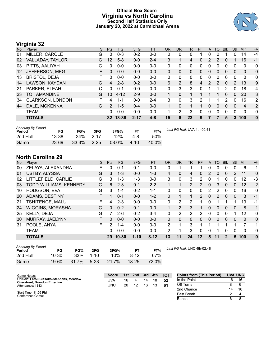### **Official Box Score Virginia vs North Carolina Second Half Statistics Only January 20, 2022 at Carmichael Arena**



### **Virginia 32**

| No. | Player                  | S  | <b>Pts</b>     | <b>FG</b> | 3FG      | <b>FT</b> | <b>OR</b> | <b>DR</b> | TR           | PF            | A              | <b>TO</b> | <b>B</b> lk  | Stl      | Min            | $+/-$          |
|-----|-------------------------|----|----------------|-----------|----------|-----------|-----------|-----------|--------------|---------------|----------------|-----------|--------------|----------|----------------|----------------|
| 01  | MILLER, CAROLE          | G  | 0              | $0 - 3$   | $0 - 2$  | $0-0$     | 0         | 0         | 0            |               | 0              | 0         |              | O        | 14             | $-4$           |
| 02  | VALLADAY, TAYLOR        | G  | 12             | $5 - 8$   | $0 - 0$  | $2 - 4$   | 3         |           | 4            | 0             | 2              | 2         | 0            |          | 16             | $-1$           |
| 03  | PITTS, AALIYAH          | G  | 0              | $0-0$     | $0-0$    | $0 - 0$   | $\Omega$  | 0         | 0            | 0             | 0              | 0         | 0            | 0        | 0              | $\mathbf 0$    |
| 12  | JEFFERSON, MEG          | F. | $\Omega$       | $0 - 0$   | $0 - 0$  | $0 - 0$   | $\Omega$  | 0         | $\mathbf{0}$ | 0             | 0              | 0         | $\mathbf{0}$ | $\Omega$ | 0              | $\mathbf{0}$   |
| 13  | <b>BRISTOL, DEJA</b>    | F  | 0              | $0 - 0$   | $0 - 0$  | $0 - 0$   | 0         | 0         | 0            | 0             | 0              | 0         | 0            | 0        | $\mathbf{0}$   | $\mathbf{0}$   |
| 14  | LAWSON, KAYDAN          | G  | $\overline{4}$ | $2 - 8$   | $0 - 2$  | $0 - 0$   | 6         | 2         | 8            | 4             | $\overline{2}$ | 2         | $\Omega$     | 2        | 13             | 9              |
| 21  | PARKER, ELEAH           | С  | 0              | $0 - 1$   | $0 - 0$  | $0 - 0$   | $\Omega$  | 3         | 3            | 0             | 1              |           | 2            | 0        | 18             | 4              |
| 23  | TOI, AMANDINE           | G  | 10             | $4 - 12$  | $2 - 9$  | $0 - 0$   |           | 0         |              |               |                |           | 0            | 0        | 20             | 3              |
| 34  | <b>CLARKSON, LONDON</b> | F  | 4              | 1-1       | $0 - 0$  | $2 - 4$   | 3         | 0         | 3.           | $\mathcal{P}$ | 1              |           | 2            | 0        | 16             | $\overline{2}$ |
| 44  | DALE, MCKENNA           | G  | 2              | $1 - 5$   | $0 - 4$  | $0 - 0$   | 1         | $\Omega$  | 1            |               | 0              | 0         | $\Omega$     | 0        | $\overline{4}$ | 2              |
|     | <b>TEAM</b>             |    | 0              | $0 - 0$   | $0 - 0$  | $0 - 0$   | 1         | 2         | 3            | 0             | 0              | 0         | 0            | $\Omega$ | $\mathbf{0}$   | $\mathbf{0}$   |
|     | <b>TOTALS</b>           |    |                | 32 13-38  | $2 - 17$ | $4 - 8$   | 15        | 8         | 23           | 9             | 7              | 7         | 5            | 3        | 100            | $\mathbf{0}$   |

| <b>Shooting By Period</b><br>Period | FG        | FG%   | 3FG      | 3FG%     |          | FT%   | Last FG Half: UVA 4th-00:41 |
|-------------------------------------|-----------|-------|----------|----------|----------|-------|-----------------------------|
| 2nd Half                            | 13-38     | 34%   | $2 - 17$ | 12%      | 4-8      | .50%  |                             |
| Game                                | $23 - 69$ | 33.3% | $2 - 25$ | $08.0\%$ | $4 - 10$ | 40.0% |                             |

### **North Carolina 29**

| No. | Plaver                  | S | <b>Pts</b> | <b>FG</b> | 3FG      | <b>FT</b> | <b>OR</b>      | <b>DR</b> | TR             | <b>PF</b>      | A        | TO | <b>Blk</b>   | Stl      | Min | $+/-$        |
|-----|-------------------------|---|------------|-----------|----------|-----------|----------------|-----------|----------------|----------------|----------|----|--------------|----------|-----|--------------|
| 00  | ZELAYA, ALEXANDRA       | F | 0          | $0 - 1$   | $0 - 1$  | $0-0$     | 0              |           |                |                | 0        | 0  | 0            | 0        | 6   |              |
| 01  | <b>USTBY, ALYSSA</b>    | G | 3          | $1 - 3$   | $0 - 0$  | $1 - 3$   | 4              | 0         | 4              | 0              | 2        | 0  | $\mathbf{0}$ | 2        | 11  | $\mathbf{0}$ |
| 02  | LITTLEFIELD, CARLIE     | G | 3          | $1 - 3$   | 1-3      | $0 - 0$   | 3              | 0         | 3              | 2              | 0        |    | 0            | 0        | 12  | -3           |
| 03  | TODD-WILLIAMS, KENNEDY  | G | 6          | $2 - 3$   | $0 - 1$  | $2 - 2$   | 1              |           | $\overline{2}$ | $\overline{2}$ | 0        | 3  | $\mathbf{0}$ | 0        | 12  | 2            |
| 10  | HODGSON, EVA            | G | 3          | $1 - 4$   | $0 - 2$  | $1 - 1$   | 0              | 0         | 0              | $\Omega$       | 2        | 2  | 0            | 0        | 16  | $\mathbf{0}$ |
| 20  | ADAMS, DESTINY          | F | 1          | $0 - 1$   | $0 - 0$  | $1 - 2$   | $\Omega$       |           | 1              | $\mathcal{P}$  | $\Omega$ | 2  | $\Omega$     | $\Omega$ | 3   | $-1$         |
| 21  | TSHITENGE, MALU         | F | 4          | $2 - 3$   | $0 - 0$  | $0 - 0$   | $\mathbf{0}$   | 2         | 2              |                | 0        |    |              |          | 13  | $-1$         |
| 24  | <b>WIGGINS, MORASHA</b> | G | 0          | $0 - 2$   | $0 - 1$  | $0 - 0$   | $\mathbf{1}$   | 2         | 3              |                | 0        | 0  | $\mathbf{0}$ | $\Omega$ | 8   | 1            |
| 25  | KELLY, DEJA             | G | 7          | $2-6$     | $0 - 2$  | $3 - 4$   | $\mathbf{0}$   | 2         | 2              | 2              | 0        | 0  | 0            |          | 12  | 0            |
| 30  | MURRAY, JAELYNN         | F | 0          | $0 - 0$   | $0 - 0$  | $0 - 0$   | 0              | 0         | $\Omega$       | $\Omega$       | 0        | 0  | 0            | 0        | 0   | $\mathbf{0}$ |
| 31  | POOLE, ANYA             | F | 2          | $1 - 4$   | $0 - 0$  | $0 - 0$   | 2              |           | 3              |                | 1        |    |              |          | 7   | 1            |
|     | <b>TEAM</b>             |   | 0          | $0 - 0$   | $0 - 0$  | $0 - 0$   | $\overline{2}$ |           | 3              | $\Omega$       | 0        |    | $\Omega$     | $\Omega$ | 0   | 0            |
|     | <b>TOTALS</b>           |   |            | 29 10-30  | $1 - 10$ | $8 - 12$  | 13             | 11        | 24             | 12             | 5        | 11 | 2            | 5        | 100 | $\mathbf{0}$ |

| <b>Shooting By Period</b><br>Period | FG    | FG%   | 3FG      | 3FG%  | FТ        | FT%   |
|-------------------------------------|-------|-------|----------|-------|-----------|-------|
| 2nd Half                            | 10-30 | 33%   | $1 - 10$ | 10%   | 8-12      | 67%   |
| Game                                | 19-60 | 31.7% | $5-23$   | 21.7% | $18 - 25$ | 72.0% |

*Last FG Half:* UNC 4th-02:48

| Game Notes:                                                                | <b>Score</b> |    | 1st 2nd | 3rd | 4th | тот | <b>Points from (This Period)</b> |    | UVA UNC |
|----------------------------------------------------------------------------|--------------|----|---------|-----|-----|-----|----------------------------------|----|---------|
| Officials: Fatou Cissoko-Stephens, Meadow<br>Overstreet, Brandon Enterline | UVA          | 16 |         |     |     | -52 | In the Paint                     | 16 | 16      |
| Attendance: 1513                                                           | <b>UNC</b>   | 20 | 12      | 16  |     | -61 | Off Turns                        |    |         |
|                                                                            |              |    |         |     |     |     | 2nd Chance                       | 14 |         |
| Start Time: 11:00 PM<br>Conference Game;                                   |              |    |         |     |     |     | <b>Fast Break</b>                |    |         |
|                                                                            |              |    |         |     |     |     | Bench                            |    |         |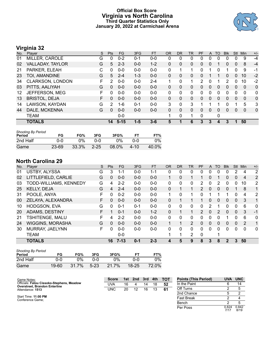### **Official Box Score Virginia vs North Carolina Third Quarter Statistics Only January 20, 2022 at Carmichael Arena**



## **Virginia 32**

| No. | Plaver               | S | <b>Pts</b> | <b>FG</b> | 3FG     | <b>FT</b> | <b>OR</b>    | <b>DR</b>    | <b>TR</b> | PF | A            | <b>TO</b> | <b>Blk</b> | Stl          | Min      | $+/-$        |
|-----|----------------------|---|------------|-----------|---------|-----------|--------------|--------------|-----------|----|--------------|-----------|------------|--------------|----------|--------------|
| 01  | MILLER, CAROLE       | G | 0          | $0 - 2$   | $0 - 1$ | $0-0$     | 0            | 0            | 0         | 0  | 0            | 0         |            | 0            | -9       | $-4$         |
| 02  | VALLADAY, TAYLOR     | G | 5          | $2 - 3$   | $0 - 0$ | $1 - 2$   | 0            | 0            | 0         | 0  | 0            |           | 0          | 0            | 8        | $-4$         |
| 21  | PARKER, ELEAH        | С | 0          | $0 - 0$   | $0-0$   | $0 - 0$   | 0            |              | 1         | 0  |              | 0         |            | 0            | 9        | -1           |
| 23  | TOI, AMANDINE        | G | 5          | $2 - 4$   | $1 - 3$ | $0 - 0$   | $\mathbf{0}$ | 0            | 0         | 0  |              |           | 0          | 0            | 10       | $-2$         |
| 34  | CLARKSON, LONDON     | F | 2          | $0 - 0$   | $0 - 0$ | $2 - 4$   | 1            | $\Omega$     | 1         | 2  | $\mathbf{0}$ |           | 2          | 0            | 10       | $-2$         |
| 03  | PITTS, AALIYAH       | G | $\Omega$   | $0 - 0$   | $0 - 0$ | $0 - 0$   | $\mathbf{0}$ | $\Omega$     | 0         | 0  | $\mathbf{0}$ | $\Omega$  | $\Omega$   | $\Omega$     | $\Omega$ | $\mathbf{0}$ |
| 12  | JEFFERSON, MEG       | F | $\Omega$   | $0-0$     | $0 - 0$ | $0-0$     | 0            | $\Omega$     | 0         | 0  | $\mathbf{0}$ | $\Omega$  | 0          | $\Omega$     | 0        | 0            |
| 13  | <b>BRISTOL, DEJA</b> | F | 0          | $0 - 0$   | $0 - 0$ | $0 - 0$   | $\mathbf{0}$ | 0            | 0         | 0  | $\mathbf{0}$ | $\Omega$  | 0          | $\mathbf{0}$ | $\Omega$ | $\mathbf{0}$ |
| 14  | LAWSON, KAYDAN       | G | 2          | $1 - 6$   | $0 - 1$ | $0 - 0$   | 3            | 0            | 3         |    |              |           | 0          |              | 5        | 3            |
| 44  | DALE, MCKENNA        | G | 0          | $0 - 0$   | $0-0$   | $0 - 0$   | $\Omega$     | $\Omega$     | 0         | 0  | $\mathbf{0}$ | $\Omega$  | $\Omega$   | $\Omega$     | $\Omega$ | $\mathbf{0}$ |
|     | <b>TEAM</b>          |   |            | $0 - 0$   |         |           | 1            | $\mathbf{0}$ | 1         | 0  |              | 0         |            |              |          |              |
|     | <b>TOTALS</b>        |   | 14         | $5 - 15$  | $1 - 5$ | $3 - 6$   | 5            | 1            | 6         | 3  | 3            | 4         | 3          | 1            | 50       |              |
|     |                      |   |            |           |         |           |              |              |           |    |              |           |            |              |          |              |

| <b>Shooting By Period</b><br>Period | FG    | FG%   | 3FG      | 3FG%  | FT   | FT%   |
|-------------------------------------|-------|-------|----------|-------|------|-------|
| 2nd Half                            | 0-0   | 0%    | በ-በ      | $2\%$ | ገ-0  | $0\%$ |
| Game                                | 23-69 | 33.3% | $2 - 25$ | 08.0% | 4-10 | 40.0% |

### **North Carolina 29**

| No. | Player                  | S  | Pts      | <b>FG</b> | 3FG     | <b>FT</b> | <b>OR</b> | <b>DR</b> | <b>TR</b>      | PF | A            | TO       | <b>B</b> lk | Stl      | Min      | $+/-$          |
|-----|-------------------------|----|----------|-----------|---------|-----------|-----------|-----------|----------------|----|--------------|----------|-------------|----------|----------|----------------|
| 01  | <b>USTBY, ALYSSA</b>    | G  | 3        | 1-1       | $0 - 0$ | 1-1       | 0         | 0         | 0              | 0  | 0            |          | 0           | 2        | 4        | $\overline{2}$ |
| 02  | LITTLEFIELD, CARLIE     | G  | 0        | $0 - 0$   | $0 - 0$ | $0-0$     |           | 0         | 1              |    | 0            |          | 0           | $\Omega$ | 4        | 2              |
| 03  | TODD-WILLIAMS, KENNEDY  | G  | 4        | $2 - 2$   | $0 - 0$ | $0 - 0$   | 0         | 0         | 0              | 2  | 0            | 2        | 0           | 0        | 10       | $\overline{2}$ |
| 25  | KELLY, DEJA             | G  | 4        | $2 - 4$   | $0 - 0$ | $0 - 0$   | 0         |           | 1              | 2  | $\mathbf{0}$ | 0        | 0           |          | 8        | 1              |
| 31  | POOLE, ANYA             | F  | 0        | $0 - 2$   | $0 - 0$ | $0-0$     | 1         | 0         | 1              | 0  |              |          |             | $\Omega$ | 4        | 2              |
| 00  | ZELAYA, ALEXANDRA       | F. | 0        | $0 - 0$   | $0 - 0$ | $0 - 0$   | 0         |           |                |    | $\Omega$     | $\Omega$ | $\Omega$    | $\Omega$ | 3        | 1              |
| 10  | HODGSON, EVA            | G  | $\Omega$ | $0 - 1$   | $0 - 1$ | $0 - 0$   | 0         | 0         | $\mathbf{0}$   | 0  | 2            |          | 0           | 0        | 6        | $\mathbf{0}$   |
| 20  | ADAMS, DESTINY          | F  |          | $0 - 1$   | $0 - 0$ | $1 - 2$   | 0         |           | $\mathbf{1}$   | 2  | $\mathbf{0}$ | 2        | 0           | $\Omega$ | 3        | $-1$           |
| 21  | TSHITENGE, MALU         | F  | 4        | $2 - 2$   | $0 - 0$ | $0-0$     | 0         | 0         | $\Omega$       | 0  | 0            | 0        |             | $\Omega$ | 6        | 0              |
| 24  | <b>WIGGINS, MORASHA</b> | G  | $\Omega$ | $0 - 0$   | $0 - 0$ | $0 - 0$   |           |           | $\overline{2}$ | 0  | $\mathbf{0}$ | $\Omega$ | 0           | $\Omega$ | 2        | 1              |
| 30  | MURRAY, JAELYNN         | E  | 0        | $0 - 0$   | $0 - 0$ | $0 - 0$   | 0         | 0         | 0              | 0  | 0            | 0        | $\Omega$    | $\Omega$ | $\Omega$ | $\mathbf{0}$   |
|     | <b>TEAM</b>             |    |          | $0 - 0$   |         |           |           | 1         | 2              | 0  |              | ۹        |             |          |          |                |
|     | <b>TOTALS</b>           |    | 16       | $7 - 13$  | $0 - 1$ | $2 - 3$   | 4         | 5         | 9              | 8  | 3            | 8        | 2           | 3        | 50       |                |

| <b>Shooting By Period</b><br>Period | FG    | FG%   | 3FG      | 3FG%  |           | FT%   |
|-------------------------------------|-------|-------|----------|-------|-----------|-------|
| 2nd Half                            | 0-0   | 0%    | ი-ი      | $0\%$ | በ-በ       | 9%    |
| Game                                | 19-60 | 31.7% | $5 - 23$ | 21.7% | $18 - 25$ | 72.0% |

| Game Notes:                                                                       | <b>Score</b> | 1st | 2nd | 3rd | 4th | <b>TOT</b> | <b>Points (This Period)</b> | <b>UVA</b>    | <b>UNC</b>    |
|-----------------------------------------------------------------------------------|--------------|-----|-----|-----|-----|------------|-----------------------------|---------------|---------------|
| Officials: Fatou Cissoko-Stephens, Meadow<br><b>Overstreet, Brandon Enterline</b> | UVA          | 16  |     | 14  | 18  | 52         | In the Paint                |               | 14            |
| Attendance: 1513                                                                  | UNC          | 20  | 12  | 16  | 13  | 61         | Off Turns                   |               |               |
|                                                                                   |              |     |     |     |     |            | 2nd Chance                  |               |               |
| Start Time: 11:00 PM<br>Conference Game:                                          |              |     |     |     |     |            | <b>Fast Break</b>           |               |               |
|                                                                                   |              |     |     |     |     |            | Bench                       |               |               |
|                                                                                   |              |     |     |     |     |            | Per Poss                    | 0.824<br>7/17 | 0.842<br>8/19 |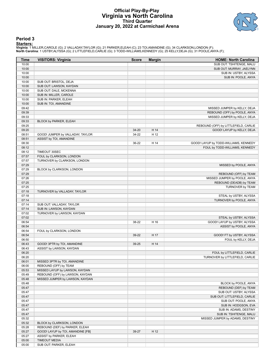#### **Official Play-By-Play Virginia vs North Carolina Third Quarter January 20, 2022 at Carmichael Arena**



#### **Period 3**

<mark>Startersː</mark><br>Virginia: 1 MILLER,CAROLE (G); 2 VALLADAY,TAYLOR (G); 21 PARKER,ELEAH (C); 23 TOI,AMANDINE (G); 34 CLARKSON,LONDON (F);<br>North Carolina: 1 USTBY,ALYSSA (G); 2 LITTLEFIELD,CARLIE (G); 3 TODD-WILLIAMS,KENNEDY (G);

| <b>Time</b>    | <b>VISITORS: Virginia</b>                               | <b>Score</b> | <b>Margin</b> | <b>HOME: North Carolina</b>           |
|----------------|---------------------------------------------------------|--------------|---------------|---------------------------------------|
| 10:00          |                                                         |              |               | SUB OUT: TSHITENGE, MALU              |
| 10:00          |                                                         |              |               | SUB OUT: MURRAY, JAELYNN              |
| 10:00          |                                                         |              |               | SUB IN: USTBY, ALYSSA                 |
| 10:00          |                                                         |              |               | SUB IN: POOLE, ANYA                   |
| 10:00          | SUB OUT: BRISTOL, DEJA                                  |              |               |                                       |
| 10:00          | SUB OUT: LAWSON, KAYDAN                                 |              |               |                                       |
| 10:00<br>10:00 | SUB OUT: DALE, MCKENNA<br>SUB IN: MILLER, CAROLE        |              |               |                                       |
| 10:00          | SUB IN: PARKER, ELEAH                                   |              |               |                                       |
| 10:00          | SUB IN: TOI, AMANDINE                                   |              |               |                                       |
| 09:42          |                                                         |              |               | MISSED JUMPER by KELLY, DEJA          |
| 09:39          |                                                         |              |               | REBOUND (OFF) by POOLE, ANYA          |
| 09:33          |                                                         |              |               | MISSED JUMPER by KELLY, DEJA          |
| 09:33          | BLOCK by PARKER, ELEAH                                  |              |               |                                       |
| 09:25          |                                                         |              |               | REBOUND (OFF) by LITTLEFIELD, CARLIE  |
| 09:20          |                                                         | 34-20        | H 14          | GOOD! LAYUP by KELLY, DEJA            |
| 08:51          | GOOD! JUMPER by VALLADAY, TAYLOR                        | 34-22        | H 12          |                                       |
| 08:51          | ASSIST by TOI, AMANDINE                                 |              |               |                                       |
| 08:30          |                                                         | 36-22        | H 14          | GOOD! LAYUP by TODD-WILLIAMS, KENNEDY |
| 08:12          |                                                         |              |               | FOUL by TODD-WILLIAMS, KENNEDY        |
| 08:12          | TIMEOUT 30SEC                                           |              |               |                                       |
| 07:57          | FOUL by CLARKSON, LONDON                                |              |               |                                       |
| 07:57          | TURNOVER by CLARKSON, LONDON                            |              |               |                                       |
| 07:29          |                                                         |              |               | MISSED by POOLE, ANYA                 |
| 07:29<br>07:29 | BLOCK by CLARKSON, LONDON                               |              |               | REBOUND (OFF) by TEAM                 |
| 07:26          |                                                         |              |               | MISSED JUMPER by POOLE, ANYA          |
| 07:25          |                                                         |              |               | REBOUND (DEADB) by TEAM               |
| 07:25          |                                                         |              |               | TURNOVER by TEAM                      |
| 07:18          | TURNOVER by VALLADAY, TAYLOR                            |              |               |                                       |
| 07:18          |                                                         |              |               | STEAL by USTBY, ALYSSA                |
| 07:14          |                                                         |              |               | TURNOVER by POOLE, ANYA               |
| 07:14          | SUB OUT: VALLADAY, TAYLOR                               |              |               |                                       |
| 07:14          | SUB IN: LAWSON, KAYDAN                                  |              |               |                                       |
| 07:02          | TURNOVER by LAWSON, KAYDAN                              |              |               |                                       |
| 07:02          |                                                         |              |               | STEAL by USTBY, ALYSSA                |
| 06:54          |                                                         | 38-22        | H 16          | GOOD! LAYUP by USTBY, ALYSSA          |
| 06:54          |                                                         |              |               | ASSIST by POOLE, ANYA                 |
| 06:54          | FOUL by CLARKSON, LONDON                                |              |               |                                       |
| 06:54          |                                                         | 39-22        | H 17          | GOOD! FT by USTBY, ALYSSA             |
| 06:50          |                                                         |              | H 14          | FOUL by KELLY, DEJA                   |
| 06:43<br>06:43 | GOOD! 3PTR by TOI, AMANDINE<br>ASSIST by LAWSON, KAYDAN | 39-25        |               |                                       |
| 06:20          |                                                         |              |               | FOUL by LITTLEFIELD, CARLIE           |
| 06:20          |                                                         |              |               | TURNOVER by LITTLEFIELD, CARLIE       |
| 06:01          | MISSED 3PTR by TOI, AMANDINE                            |              |               |                                       |
| 06:00          | REBOUND (OFF) by TEAM                                   |              |               |                                       |
| 05:53          | MISSED LAYUP by LAWSON, KAYDAN                          |              |               |                                       |
| 05:49          | REBOUND (OFF) by LAWSON, KAYDAN                         |              |               |                                       |
| 05:48          | MISSED JUMPER by LAWSON, KAYDAN                         |              |               |                                       |
| 05:48          |                                                         |              |               | BLOCK by POOLE, ANYA                  |
| 05:47          |                                                         |              |               | REBOUND (DEF) by TEAM                 |
| 05:47          |                                                         |              |               | SUB OUT: USTBY, ALYSSA                |
| 05:47          |                                                         |              |               | SUB OUT: LITTLEFIELD, CARLIE          |
| 05:47          |                                                         |              |               | SUB OUT: POOLE, ANYA                  |
| 05:47          |                                                         |              |               | SUB IN: HODGSON, EVA                  |
| 05:47          |                                                         |              |               | SUB IN: ADAMS, DESTINY                |
| 05:47          |                                                         |              |               | SUB IN: TSHITENGE, MALU               |
| 05:32          |                                                         |              |               | MISSED JUMPER by ADAMS, DESTINY       |
| 05:32          | BLOCK by CLARKSON, LONDON                               |              |               |                                       |
| 05:28          | REBOUND (DEF) by PARKER, ELEAH                          |              |               |                                       |
| 05:27<br>05:27 | GOOD! LAYUP by TOI, AMANDINE [FB]                       | 39-27        | H 12          |                                       |
| 05:00          | ASSIST by PARKER, ELEAH<br><b>TIMEOUT MEDIA</b>         |              |               |                                       |
| 05:00          | SUB OUT: PARKER, ELEAH                                  |              |               |                                       |
|                |                                                         |              |               |                                       |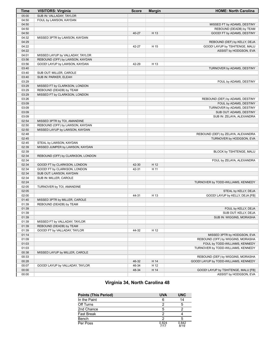| <b>Time</b>    | <b>VISITORS: Virginia</b>         | <b>Score</b> | <b>Margin</b> | <b>HOME: North Carolina</b>           |
|----------------|-----------------------------------|--------------|---------------|---------------------------------------|
| 05:00          | SUB IN: VALLADAY, TAYLOR          |              |               |                                       |
| 04:50          | FOUL by LAWSON, KAYDAN            |              |               |                                       |
| 04:50          |                                   |              |               | MISSED FT by ADAMS, DESTINY           |
| 04:50          |                                   |              |               | REBOUND (DEADB) by TEAM               |
| 04:50          |                                   | 40-27        | H 13          | GOOD! FT by ADAMS, DESTINY            |
| 04:32          | MISSED 3PTR by LAWSON, KAYDAN     |              |               |                                       |
| 04:29          |                                   |              |               | REBOUND (DEF) by KELLY, DEJA          |
| 04:22          |                                   | 42-27        | H 15          | GOOD! LAYUP by TSHITENGE, MALU        |
| 04:22          |                                   |              |               | ASSIST by HODGSON, EVA                |
| 04:01          | MISSED LAYUP by VALLADAY, TAYLOR  |              |               |                                       |
|                |                                   |              |               |                                       |
| 03:56<br>03:56 | REBOUND (OFF) by LAWSON, KAYDAN   |              |               |                                       |
|                | GOOD! LAYUP by LAWSON, KAYDAN     | 42-29        | H 13          |                                       |
| 03:40          |                                   |              |               | TURNOVER by ADAMS, DESTINY            |
| 03:40          | SUB OUT: MILLER, CAROLE           |              |               |                                       |
| 03:40          | SUB IN: PARKER, ELEAH             |              |               |                                       |
| 03:29          |                                   |              |               | FOUL by ADAMS, DESTINY                |
| 03:29          | MISSED FT by CLARKSON, LONDON     |              |               |                                       |
| 03:29          | REBOUND (DEADB) by TEAM           |              |               |                                       |
| 03:29          | MISSED FT by CLARKSON, LONDON     |              |               |                                       |
| 03:26          |                                   |              |               | REBOUND (DEF) by ADAMS, DESTINY       |
| 03:09          |                                   |              |               | FOUL by ADAMS, DESTINY                |
| 03:09          |                                   |              |               | TURNOVER by ADAMS, DESTINY            |
| 03:09          |                                   |              |               | SUB OUT: ADAMS, DESTINY               |
| 03:09          |                                   |              |               | SUB IN: ZELAYA, ALEXANDRA             |
| 02:54          | MISSED 3PTR by TOI, AMANDINE      |              |               |                                       |
| 02:50          | REBOUND (OFF) by LAWSON, KAYDAN   |              |               |                                       |
| 02:50          | MISSED LAYUP by LAWSON, KAYDAN    |              |               |                                       |
| 02:48          |                                   |              |               | REBOUND (DEF) by ZELAYA, ALEXANDRA    |
| 02:45          |                                   |              |               | TURNOVER by HODGSON, EVA              |
| 02:45          | STEAL by LAWSON, KAYDAN           |              |               |                                       |
| 02:39          | MISSED JUMPER by LAWSON, KAYDAN   |              |               |                                       |
| 02:39          |                                   |              |               | BLOCK by TSHITENGE, MALU              |
|                |                                   |              |               |                                       |
| 02:34          | REBOUND (OFF) by CLARKSON, LONDON |              |               |                                       |
| 02:34          |                                   |              |               | FOUL by ZELAYA, ALEXANDRA             |
| 02:34          | GOOD! FT by CLARKSON, LONDON      | 42-30        | H 12          |                                       |
| 02:34          | GOOD! FT by CLARKSON, LONDON      | 42-31        | H 11          |                                       |
| 02:34          | SUB OUT: LAWSON, KAYDAN           |              |               |                                       |
| 02:34          | SUB IN: MILLER, CAROLE            |              |               |                                       |
| 02:24          |                                   |              |               | TURNOVER by TODD-WILLIAMS, KENNEDY    |
| 02:05          | TURNOVER by TOI, AMANDINE         |              |               |                                       |
| 02:05          |                                   |              |               | STEAL by KELLY, DEJA                  |
| 02:00          |                                   | 44-31        | H 13          | GOOD! LAYUP by KELLY, DEJA [FB]       |
| 01:40          | MISSED 3PTR by MILLER, CAROLE     |              |               |                                       |
| 01:39          | REBOUND (DEADB) by TEAM           |              |               |                                       |
| 01:39          |                                   |              |               | FOUL by KELLY, DEJA                   |
| 01:39          |                                   |              |               | SUB OUT: KELLY, DEJA                  |
| 01:39          |                                   |              |               | SUB IN: WIGGINS, MORASHA              |
| 01:39          | MISSED FT by VALLADAY, TAYLOR     |              |               |                                       |
| 01:39          | REBOUND (DEADB) by TEAM           |              |               |                                       |
| 01:39          | GOOD! FT by VALLADAY, TAYLOR      | 44-32        | H 12          |                                       |
| 01:14          |                                   |              |               | MISSED 3PTR by HODGSON, EVA           |
| 01:09          |                                   |              |               | REBOUND (OFF) by WIGGINS, MORASHA     |
| 01:03          |                                   |              |               | FOUL by TODD-WILLIAMS, KENNEDY        |
| 01:03          |                                   |              |               | TURNOVER by TODD-WILLIAMS, KENNEDY    |
| 00:38          | MISSED LAYUP by MILLER, CAROLE    |              |               |                                       |
|                |                                   |              |               |                                       |
| 00:33          |                                   |              |               | REBOUND (DEF) by WIGGINS, MORASHA     |
| 00:28          |                                   | 46-32        | H 14          | GOOD! LAYUP by TODD-WILLIAMS, KENNEDY |
| 00:07          | GOOD! LAYUP by VALLADAY, TAYLOR   | 46-34        | H 12          |                                       |
| 00:00          |                                   | 48-34        | H 14          | GOOD! LAYUP by TSHITENGE, MALU [FB]   |
| 00:00          |                                   |              |               | ASSIST by HODGSON, EVA                |

### **Virginia 34, North Carolina 48**

| <b>Points (This Period)</b> | <b>UVA</b>    | <b>UNC</b>    |
|-----------------------------|---------------|---------------|
| In the Paint                |               |               |
| Off Turns                   |               |               |
| 2nd Chance                  | 5             |               |
| <b>Fast Break</b>           |               |               |
| Bench                       |               |               |
| Per Poss                    | 0.824<br>7/17 | 0.842<br>8/19 |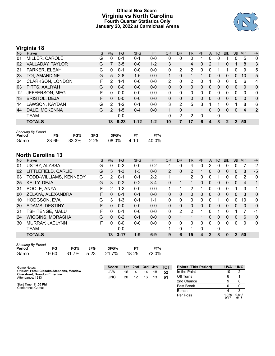### **Official Box Score Virginia vs North Carolina Fourth Quarter Statistics Only January 20, 2022 at Carmichael Arena**



### **Virginia 18**

| No. | Player                  | S | <b>Pts</b>    | <b>FG</b> | 3FG      | <b>FT</b> | <b>OR</b> | <b>DR</b> | TR | PF       | A            | TO           | <b>Blk</b>   | Stl            | Min          | $+/-$        |
|-----|-------------------------|---|---------------|-----------|----------|-----------|-----------|-----------|----|----------|--------------|--------------|--------------|----------------|--------------|--------------|
| 01  | MILLER, CAROLE          | G | 0             | $0 - 1$   | $0 - 1$  | $0-0$     | 0         | 0         | 0  |          | 0            | 0            |              | 0              | 5            | 0            |
| 02  | VALLADAY, TAYLOR        | G |               | $3 - 5$   | $0 - 0$  | $1 - 2$   | 3         |           | 4  | 0        | 2            |              | 0            |                | 8            | 3            |
| 21  | PARKER, ELEAH           | С | 0             | $0 - 1$   | $0 - 0$  | $0 - 0$   | 0         | 2         | 2  | 0        | 0            |              |              | 0              | 9            | 5            |
| 23  | TOI, AMANDINE           | G | 5             | $2 - 8$   | $1 - 6$  | $0 - 0$   | 1         | 0         | 1  |          | $\mathbf{0}$ | $\mathbf{0}$ | $\mathbf{0}$ | $\overline{0}$ | 10           | 5            |
| 34  | <b>CLARKSON, LONDON</b> | F | 2             | 1-1       | $0 - 0$  | $0-0$     | 2         | $\Omega$  | 2  | 0        |              | 0            | 0            | 0              | 6            | 4            |
| 03  | PITTS, AALIYAH          | G | $\Omega$      | $0 - 0$   | $0 - 0$  | $0 - 0$   | $\Omega$  | $\Omega$  | 0  | $\Omega$ | $\mathbf{0}$ | $\Omega$     | $\Omega$     | $\Omega$       | $\Omega$     | $\mathbf{0}$ |
| 12  | JEFFERSON, MEG          | F | 0             | $0 - 0$   | $0 - 0$  | $0 - 0$   | $\Omega$  | $\Omega$  | 0  | $\Omega$ | 0            | 0            | 0            | $\Omega$       | $\Omega$     | $\mathbf{0}$ |
| 13  | <b>BRISTOL, DEJA</b>    | F | 0             | $0 - 0$   | $0 - 0$  | $0 - 0$   | $\Omega$  | $\Omega$  | 0  | 0        | $\Omega$     | 0            | $\Omega$     | $\Omega$       | $\mathbf{0}$ | $\mathbf{0}$ |
| 14  | LAWSON, KAYDAN          | G | 2             | $1 - 2$   | $0 - 1$  | $0-0$     | 3         | 2         | 5  | 3        |              |              | 0            | 1              | 8            | 6            |
| 44  | DALE, MCKENNA           | G | $\mathcal{P}$ | $1 - 5$   | $0 - 4$  | $0 - 0$   | 1         | $\Omega$  | 1  | 1        | $\Omega$     | 0            | $\Omega$     | $\Omega$       | 4            | 2            |
|     | <b>TEAM</b>             |   |               | $0 - 0$   |          |           | $\Omega$  | 2         | 2  | 0        |              | 0            |              |                |              |              |
|     | <b>TOTALS</b>           |   | 18            | $8 - 23$  | $1 - 12$ | $1 - 2$   | 10        |           | 17 | 6        | 4            | 3            | 2            | $\mathcal{P}$  | 50           |              |

| <b>Shooting By Period</b> |       |            |     |       |       |       |  |  |  |  |
|---------------------------|-------|------------|-----|-------|-------|-------|--|--|--|--|
| Period                    | FG    | FG%        | 3FG | 3FG%  |       | FT%   |  |  |  |  |
| Game                      | 23-69 | 33.3% 2-25 |     | 08.0% | -4-10 | 40.0% |  |  |  |  |

### **North Carolina 13**

| No. | Player                  | S  | Pts      | FG       | 3FG     | <b>FT</b> | <b>OR</b>      | <b>DR</b>    | TR             | PF | A        | TO       | <b>Blk</b>   | Stl | Min          | $+/-$        |
|-----|-------------------------|----|----------|----------|---------|-----------|----------------|--------------|----------------|----|----------|----------|--------------|-----|--------------|--------------|
| 01  | <b>USTBY, ALYSSA</b>    | G  | 0        | $0 - 2$  | $0 - 0$ | $0 - 2$   | 4              | 0            | 4              | 0  | 2        |          |              | 0   |              | $-2$         |
| 02  | LITTLEFIELD, CARLIE     | G  | 3        | $1 - 3$  | $1 - 3$ | $0 - 0$   | $\overline{2}$ | 0            | $\overline{2}$ |    | 0        | 0        | 0            | 0   | 8            | $-5$         |
| 03  | TODD-WILLIAMS, KENNEDY  | G  | 2        | $0 - 1$  | $0 - 1$ | $2 - 2$   |                | 1            | $\overline{2}$ | 0  | 0        |          | 0            | 0   | 2            | $\mathbf 0$  |
| 25  | KELLY, DEJA             | G  | 3        | $0 - 2$  | $0 - 2$ | $3 - 4$   | 0              |              | 1              | 0  | 0        | 0        | 0            | 0   | 4            | $-1$         |
| 31  | POOLE, ANYA             | F  | 2        | $1 - 2$  | $0 - 0$ | $0 - 0$   |                | ◀            | $\overline{2}$ |    | 0        | $\Omega$ | O            |     | 3            | -1           |
| 00  | ZELAYA, ALEXANDRA       | F  | 0        | $0 - 1$  | $0 - 1$ | $0 - 0$   | 0              | 0            | 0              | 0  | 0        | $\Omega$ | 0            | 0   | 3            | $\mathbf 0$  |
| 10  | HODGSON, EVA            | G  | 3        | $1 - 3$  | $0 - 1$ | $1 - 1$   | $\Omega$       | 0            | 0              | 0  | 0        |          | 0            | 0   | 10           | 0            |
| 20  | ADAMS, DESTINY          | F. | 0        | $0 - 0$  | $0 - 0$ | $0 - 0$   | 0              | 0            | $\Omega$       | 0  | 0        | $\Omega$ | 0            | 0   | $\mathbf{0}$ | $\mathbf{0}$ |
| 21  | TSHITENGE, MALU         | F  | 0        | $0 - 1$  | $0 - 0$ | $0 - 0$   | $\Omega$       | 2            | 2              | 1  | 0        | ↿        | 0            | 1   | 7            | -1           |
| 24  | <b>WIGGINS, MORASHA</b> | G  | $\Omega$ | $0 - 2$  | $0 - 1$ | $0 - 0$   | $\Omega$       |              |                |    | 0        | $\Omega$ | 0            | 0   | 6            | $\Omega$     |
| 30  | MURRAY, JAELYNN         | F. | 0        | $0 - 0$  | $0 - 0$ | $0 - 0$   | 0              | 0            | 0              | 0  | $\Omega$ | 0        | 0            | 0   | $\mathbf 0$  | $\mathbf{0}$ |
|     | TEAM                    |    |          | $0 - 0$  |         |           |                | $\mathbf{0}$ | 1              | 0  |          | 0        |              |     |              |              |
|     | <b>TOTALS</b>           |    | 13       | $3 - 17$ | $1 - 9$ | $6-9$     | 9              | 6            | 15             | 4  | 2        | 3        | $\mathbf{0}$ | 2   | 50           |              |

| <b>Shooting By Period</b> |       |            |     |       |       |       |
|---------------------------|-------|------------|-----|-------|-------|-------|
| Period                    | FG    | FG%        | 3FG | 3FG%  |       | FT%   |
| Game                      | 19-60 | 31.7% 5-23 |     | 21.7% | 18-25 | 72.0% |

| Game Notes:                                                                       | Score      |    | 1st 2nd | 3rd | 4th | тот | <b>Points (This Period)</b> | <b>UVA</b>   | <b>UNC</b>    |
|-----------------------------------------------------------------------------------|------------|----|---------|-----|-----|-----|-----------------------------|--------------|---------------|
| Officials: Fatou Cissoko-Stephens, Meadow<br><b>Overstreet, Brandon Enterline</b> | UVA        | 16 |         | 14  | 18  | 52  | In the Paint                | 10           |               |
| Attendance: 1513                                                                  | <b>UNC</b> | 20 | 12      | 16  | 13  | 61  | Off Turns                   |              |               |
|                                                                                   |            |    |         |     |     |     | 2nd Chance                  |              |               |
| Start Time: 11:00 PM<br>Conference Game:                                          |            |    |         |     |     |     | <b>Fast Break</b>           |              |               |
|                                                                                   |            |    |         |     |     |     | Bench                       |              |               |
|                                                                                   |            |    |         |     |     |     | Per Poss                    | .059<br>9/17 | 0.813<br>6/16 |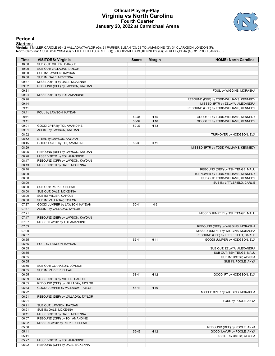### **Official Play-By-Play Virginia vs North Carolina Fourth Quarter January 20, 2022 at Carmichael Arena**



#### **Period 4**

<mark>Startersː</mark><br>Virginia: 1 MILLER,CAROLE (G); 2 VALLADAY,TAYLOR (G); 21 PARKER,ELEAH (C); 23 TOI,AMANDINE (G); 34 CLARKSON,LONDON (F);<br>North Carolina: 1 USTBY,ALYSSA (G); 2 LITTLEFIELD,CARLIE (G); 3 TODD-WILLIAMS,KENNEDY (G);

| Time           | <b>VISITORS: Virginia</b>                          | <b>Score</b> | <b>Margin</b> | <b>HOME: North Carolina</b>                                                 |
|----------------|----------------------------------------------------|--------------|---------------|-----------------------------------------------------------------------------|
| 10:00          | SUB OUT: MILLER, CAROLE                            |              |               |                                                                             |
| 10:00          | SUB OUT: VALLADAY, TAYLOR                          |              |               |                                                                             |
| 10:00          | SUB IN: LAWSON, KAYDAN                             |              |               |                                                                             |
| 10:00          | SUB IN: DALE, MCKENNA                              |              |               |                                                                             |
| 09:37          | MISSED 3PTR by DALE, MCKENNA                       |              |               |                                                                             |
| 09:32          | REBOUND (OFF) by LAWSON, KAYDAN                    |              |               |                                                                             |
| 09:31          |                                                    |              |               | FOUL by WIGGINS, MORASHA                                                    |
| 09:24          | MISSED 3PTR by TOI, AMANDINE                       |              |               |                                                                             |
| 09:20<br>09:14 |                                                    |              |               | REBOUND (DEF) by TODD-WILLIAMS, KENNEDY<br>MISSED 3PTR by ZELAYA, ALEXANDRA |
| 09:11          |                                                    |              |               | REBOUND (OFF) by TODD-WILLIAMS, KENNEDY                                     |
| 09:11          | FOUL by LAWSON, KAYDAN                             |              |               |                                                                             |
| 09:11          |                                                    | 49-34        | H 15          | GOOD! FT by TODD-WILLIAMS, KENNEDY                                          |
| 09:11          |                                                    | 50-34        | H 16          | GOOD! FT by TODD-WILLIAMS, KENNEDY                                          |
| 09:01          | GOOD! 3PTR by TOI, AMANDINE                        | 50-37        | H 13          |                                                                             |
| 09:01          | ASSIST by LAWSON, KAYDAN                           |              |               |                                                                             |
| 08:52          |                                                    |              |               | TURNOVER by HODGSON, EVA                                                    |
| 08:52          | STEAL by LAWSON, KAYDAN                            |              |               |                                                                             |
| 08:45          | GOOD! LAYUP by TOI, AMANDINE                       | 50-39        | H 11          |                                                                             |
| 08:29          |                                                    |              |               | MISSED 3PTR by TODD-WILLIAMS, KENNEDY                                       |
| 08:25          | REBOUND (DEF) by LAWSON, KAYDAN                    |              |               |                                                                             |
| 08:20          | MISSED 3PTR by TOI, AMANDINE                       |              |               |                                                                             |
| 08:17          | REBOUND (OFF) by LAWSON, KAYDAN                    |              |               |                                                                             |
| 08:13          | MISSED 3PTR by DALE, MCKENNA                       |              |               |                                                                             |
| 08:10          |                                                    |              |               | REBOUND (DEF) by TSHITENGE, MALU                                            |
| 08:00          |                                                    |              |               | TURNOVER by TODD-WILLIAMS, KENNEDY                                          |
| 08:00          |                                                    |              |               | SUB OUT: TODD-WILLIAMS, KENNEDY                                             |
| 08:00<br>08:00 |                                                    |              |               | SUB IN: LITTLEFIELD, CARLIE                                                 |
| 08:00          | SUB OUT: PARKER, ELEAH<br>SUB OUT: DALE, MCKENNA   |              |               |                                                                             |
| 08:00          | SUB IN: MILLER, CAROLE                             |              |               |                                                                             |
| 08:00          | SUB IN: VALLADAY, TAYLOR                           |              |               |                                                                             |
| 07:37          | GOOD! JUMPER by LAWSON, KAYDAN                     | $50 - 41$    | H 9           |                                                                             |
| 07:37          | ASSIST by VALLADAY, TAYLOR                         |              |               |                                                                             |
| 07:21          |                                                    |              |               | MISSED JUMPER by TSHITENGE, MALU                                            |
| 07:17          | REBOUND (DEF) by LAWSON, KAYDAN                    |              |               |                                                                             |
| 07:07          | MISSED LAYUP by TOI, AMANDINE                      |              |               |                                                                             |
| 07:03          |                                                    |              |               | REBOUND (DEF) by WIGGINS, MORASHA                                           |
| 07:00          |                                                    |              |               | MISSED JUMPER by WIGGINS, MORASHA                                           |
| 06:57          |                                                    |              |               | REBOUND (OFF) by LITTLEFIELD, CARLIE                                        |
| 06:55          |                                                    | $52 - 41$    | H 11          | GOOD! JUMPER by HODGSON, EVA                                                |
| 06:55          | FOUL by LAWSON, KAYDAN                             |              |               |                                                                             |
| 06:55          |                                                    |              |               | SUB OUT: ZELAYA, ALEXANDRA                                                  |
| 06:55          |                                                    |              |               | SUB OUT: TSHITENGE, MALU                                                    |
| 06:55          |                                                    |              |               | SUB IN: USTBY, ALYSSA                                                       |
| 06:55          |                                                    |              |               | SUB IN: POOLE, ANYA                                                         |
| 06:55<br>06:55 | SUB OUT: CLARKSON, LONDON<br>SUB IN: PARKER, ELEAH |              |               |                                                                             |
| 06:55          |                                                    | 53-41        | H 12          | GOOD! FT by HODGSON, EVA                                                    |
| 06:39          | MISSED 3PTR by MILLER, CAROLE                      |              |               |                                                                             |
| 06:35          | REBOUND (OFF) by VALLADAY, TAYLOR                  |              |               |                                                                             |
| 06:33          | GOOD! JUMPER by VALLADAY, TAYLOR                   | 53-43        | H 10          |                                                                             |
| 06:22          |                                                    |              |               | MISSED 3PTR by WIGGINS, MORASHA                                             |
| 06:21          | REBOUND (DEF) by VALLADAY, TAYLOR                  |              |               |                                                                             |
| 06:21          |                                                    |              |               | FOUL by POOLE, ANYA                                                         |
| 06:21          | SUB OUT: LAWSON, KAYDAN                            |              |               |                                                                             |
| 06:21          | SUB IN: DALE, MCKENNA                              |              |               |                                                                             |
| 06:11          | MISSED 3PTR by DALE, MCKENNA                       |              |               |                                                                             |
| 06:07          | REBOUND (OFF) by TOI, AMANDINE                     |              |               |                                                                             |
| 06:02          | MISSED LAYUP by PARKER, ELEAH                      |              |               |                                                                             |
| 05:56          |                                                    |              |               | REBOUND (DEF) by POOLE, ANYA                                                |
| 05:41          |                                                    | 55-43        | H 12          | GOOD! LAYUP by POOLE, ANYA                                                  |
| 05:41          |                                                    |              |               | ASSIST by USTBY, ALYSSA                                                     |
| 05:27          | MISSED 3PTR by TOI, AMANDINE                       |              |               |                                                                             |
| 05:22          | REBOUND (OFF) by DALE, MCKENNA                     |              |               |                                                                             |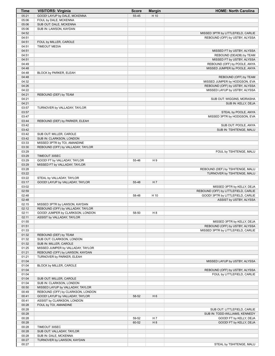| <b>Time</b>    | <b>VISITORS: Virginia</b>                                             | <b>Score</b> | <b>Margin</b>  | <b>HOME: North Carolina</b>                           |
|----------------|-----------------------------------------------------------------------|--------------|----------------|-------------------------------------------------------|
| 05:21          | GOOD! LAYUP by DALE, MCKENNA                                          | 55-45        | H 10           |                                                       |
| 05:06          | FOUL by DALE, MCKENNA                                                 |              |                |                                                       |
| 05:06          | SUB OUT: DALE, MCKENNA                                                |              |                |                                                       |
| 05:06          | SUB IN: LAWSON, KAYDAN                                                |              |                |                                                       |
| 04:52          |                                                                       |              |                | MISSED 3PTR by LITTLEFIELD, CARLIE                    |
| 04:51          |                                                                       |              |                | REBOUND (OFF) by USTBY, ALYSSA                        |
| 04:51          | FOUL by MILLER, CAROLE                                                |              |                |                                                       |
| 04:51          | <b>TIMEOUT MEDIA</b>                                                  |              |                |                                                       |
| 04:51          |                                                                       |              |                | MISSED FT by USTBY, ALYSSA<br>REBOUND (DEADB) by TEAM |
| 04:51<br>04:51 |                                                                       |              |                | MISSED FT by USTBY, ALYSSA                            |
| 04:49          |                                                                       |              |                | REBOUND (OFF) by POOLE, ANYA                          |
| 04:48          |                                                                       |              |                | MISSED JUMPER by POOLE, ANYA                          |
| 04:48          | BLOCK by PARKER, ELEAH                                                |              |                |                                                       |
| 04:48          |                                                                       |              |                | REBOUND (OFF) by TEAM                                 |
| 04:32          |                                                                       |              |                | MISSED JUMPER by HODGSON, EVA                         |
| 04:26          |                                                                       |              |                | REBOUND (OFF) by USTBY, ALYSSA                        |
| 04:22          |                                                                       |              |                | MISSED LAYUP by USTBY, ALYSSA                         |
| 04:21          | REBOUND (DEF) by TEAM                                                 |              |                |                                                       |
| 04:21          |                                                                       |              |                | SUB OUT: WIGGINS, MORASHA                             |
| 04:21          |                                                                       |              |                | SUB IN: KELLY, DEJA                                   |
| 03:57          | TURNOVER by VALLADAY, TAYLOR                                          |              |                |                                                       |
| 03:57          |                                                                       |              |                | STEAL by POOLE, ANYA                                  |
| 03:47          |                                                                       |              |                | MISSED 3PTR by HODGSON, EVA                           |
| 03:44          | REBOUND (DEF) by PARKER, ELEAH                                        |              |                |                                                       |
| 03:42          |                                                                       |              |                | SUB OUT: POOLE, ANYA                                  |
| 03:42<br>03:42 |                                                                       |              |                | SUB IN: TSHITENGE, MALU                               |
| 03:42          | SUB OUT: MILLER, CAROLE<br>SUB IN: CLARKSON, LONDON                   |              |                |                                                       |
| 03:33          | MISSED 3PTR by TOI, AMANDINE                                          |              |                |                                                       |
| 03:30          | REBOUND (OFF) by VALLADAY, TAYLOR                                     |              |                |                                                       |
| 03:29          |                                                                       |              |                | FOUL by TSHITENGE, MALU                               |
| 03:29          | TIMEOUT 30SEC                                                         |              |                |                                                       |
| 03:29          | GOOD! FT by VALLADAY, TAYLOR                                          | 55-46        | H 9            |                                                       |
| 03:29          | MISSED FT by VALLADAY, TAYLOR                                         |              |                |                                                       |
| 03:28          |                                                                       |              |                | REBOUND (DEF) by TSHITENGE, MALU                      |
| 03:22          |                                                                       |              |                | TURNOVER by TSHITENGE, MALU                           |
| 03:22          | STEAL by VALLADAY, TAYLOR                                             |              |                |                                                       |
| 03:17          | GOOD! LAYUP by VALLADAY, TAYLOR                                       | 55-48        | H 7            |                                                       |
| 03:02          |                                                                       |              |                | MISSED 3PTR by KELLY, DEJA                            |
| 02:59          |                                                                       |              |                | REBOUND (OFF) by LITTLEFIELD, CARLIE                  |
| 02:48          |                                                                       | 58-48        | H 10           | GOOD! 3PTR by LITTLEFIELD, CARLIE                     |
| 02:48          |                                                                       |              |                | ASSIST by USTBY, ALYSSA                               |
| 02:15          | MISSED 3PTR by LAWSON, KAYDAN                                         |              |                |                                                       |
| 02:12<br>02:11 | REBOUND (OFF) by VALLADAY, TAYLOR<br>GOOD! JUMPER by CLARKSON, LONDON | 58-50        | H <sub>8</sub> |                                                       |
| 02:11          | ASSIST by VALLADAY, TAYLOR                                            |              |                |                                                       |
| 01:55          |                                                                       |              |                | MISSED 3PTR by KELLY, DEJA                            |
| 01:51          |                                                                       |              |                | REBOUND (OFF) by USTBY, ALYSSA                        |
| 01:33          |                                                                       |              |                | MISSED 3PTR by LITTLEFIELD, CARLIE                    |
| 01:32          | REBOUND (DEF) by TEAM                                                 |              |                |                                                       |
| 01:32          | SUB OUT: CLARKSON, LONDON                                             |              |                |                                                       |
| 01:32          | SUB IN: MILLER, CAROLE                                                |              |                |                                                       |
| 01:25          | MISSED JUMPER by VALLADAY, TAYLOR                                     |              |                |                                                       |
| 01:21          | REBOUND (OFF) by LAWSON, KAYDAN                                       |              |                |                                                       |
| 01:21          | TURNOVER by PARKER, ELEAH                                             |              |                |                                                       |
| 01:04          |                                                                       |              |                | MISSED LAYUP by USTBY, ALYSSA                         |
| 01:04          | BLOCK by MILLER, CAROLE                                               |              |                |                                                       |
| 01:04          |                                                                       |              |                | REBOUND (OFF) by USTBY, ALYSSA                        |
| 01:04          |                                                                       |              |                | FOUL by LITTLEFIELD, CARLIE                           |
| 01:04          | SUB OUT: MILLER, CAROLE                                               |              |                |                                                       |
| 01:04          | SUB IN: CLARKSON, LONDON                                              |              |                |                                                       |
| 00:50          | MISSED LAYUP by VALLADAY, TAYLOR                                      |              |                |                                                       |
| 00:49<br>00:41 | REBOUND (OFF) by CLARKSON, LONDON<br>GOOD! LAYUP by VALLADAY, TAYLOR  |              | H <sub>6</sub> |                                                       |
| 00:41          | ASSIST by CLARKSON, LONDON                                            | 58-52        |                |                                                       |
| 00:28          | FOUL by TOI, AMANDINE                                                 |              |                |                                                       |
| 00:28          |                                                                       |              |                | SUB OUT: LITTLEFIELD, CARLIE                          |
| 00:28          |                                                                       |              |                | SUB IN: TODD-WILLIAMS, KENNEDY                        |
| 00:28          |                                                                       | 59-52        | H 7            | GOOD! FT by KELLY, DEJA                               |
| 00:28          |                                                                       | 60-52        | H 8            | GOOD! FT by KELLY, DEJA                               |
| 00:28          | TIMEOUT 30SEC                                                         |              |                |                                                       |
| 00:28          | SUB OUT: VALLADAY, TAYLOR                                             |              |                |                                                       |
| 00:28          | SUB IN: DALE, MCKENNA                                                 |              |                |                                                       |
| 00:27          | TURNOVER by LAWSON, KAYDAN                                            |              |                |                                                       |
| 00:27          |                                                                       |              |                | STEAL by TSHITENGE, MALU                              |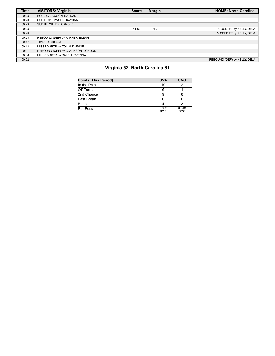| <b>Time</b> | <b>VISITORS: Virginia</b>         | <b>Score</b> | <b>Margin</b>  | <b>HOME: North Carolina</b>  |
|-------------|-----------------------------------|--------------|----------------|------------------------------|
| 00:23       | FOUL by LAWSON, KAYDAN            |              |                |                              |
| 00:23       | SUB OUT: LAWSON, KAYDAN           |              |                |                              |
| 00:23       | SUB IN: MILLER. CAROLE            |              |                |                              |
| 00:23       |                                   | 61-52        | H <sub>9</sub> | GOOD! FT by KELLY, DEJA      |
| 00:23       |                                   |              |                | MISSED FT by KELLY, DEJA     |
| 00:23       | REBOUND (DEF) by PARKER, ELEAH    |              |                |                              |
| 00:17       | TIMEOUT 30SEC                     |              |                |                              |
| 00:12       | MISSED 3PTR by TOI, AMANDINE      |              |                |                              |
| 00:07       | REBOUND (OFF) by CLARKSON, LONDON |              |                |                              |
| 00:06       | MISSED 3PTR by DALE, MCKENNA      |              |                |                              |
| 00:02       |                                   |              |                | REBOUND (DEF) by KELLY, DEJA |

### **Virginia 52, North Carolina 61**

| <b>Points (This Period)</b> | <b>UVA</b>    | <b>UNC</b>    |
|-----------------------------|---------------|---------------|
| In the Paint                | 10            |               |
| Off Turns                   |               |               |
| 2nd Chance                  |               |               |
| <b>Fast Break</b>           |               |               |
| Bench                       |               |               |
| Per Poss                    | 1.059<br>9/17 | 0.813<br>6/16 |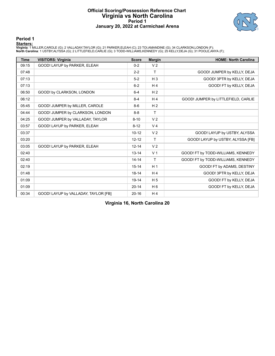#### **Official Scoring/Possession Reference Chart Virginia vs North Carolina Period 1 January 20, 2022 at Carmichael Arena**



**Period 1**

#### **Starters:**

Virginia: 1 MILLER,CAROLE (G); 2 VALLADAY,TAYLOR (G); 21 PARKER,ELEAH (C); 23 TOI,AMANDINE (G); 34 CLARKSON,LONDON (F);<br>North Carolina: 1 USTBY,ALYSSA (G); 2 LITTLEFIELD,CARLIE (G); 3 TODD-WILLIAMS,KENNEDY (G); 25 KELLY,DE

| <b>Time</b> | <b>VISITORS: Virginia</b>            | <b>Score</b> | <b>Margin</b>  | <b>HOME: North Carolina</b>         |
|-------------|--------------------------------------|--------------|----------------|-------------------------------------|
| 09:15       | GOOD! LAYUP by PARKER, ELEAH         | $0 - 2$      | V <sub>2</sub> |                                     |
| 07:48       |                                      | $2 - 2$      | T              | GOOD! JUMPER by KELLY, DEJA         |
| 07:13       |                                      | $5-2$        | $H_3$          | GOOD! 3PTR by KELLY, DEJA           |
| 07:13       |                                      | $6 - 2$      | H <sub>4</sub> | GOOD! FT by KELLY, DEJA             |
| 06:50       | GOOD! by CLARKSON, LONDON            | $6 - 4$      | H <sub>2</sub> |                                     |
| 06:12       |                                      | $8 - 4$      | H <sub>4</sub> | GOOD! JUMPER by LITTLEFIELD, CARLIE |
| 05:45       | GOOD! JUMPER by MILLER, CAROLE       | $8-6$        | H <sub>2</sub> |                                     |
| 04:44       | GOOD! JUMPER by CLARKSON, LONDON     | $8 - 8$      | $\mathsf{T}$   |                                     |
| 04:25       | GOOD! JUMPER by VALLADAY, TAYLOR     | $8 - 10$     | V <sub>2</sub> |                                     |
| 03:57       | GOOD! LAYUP by PARKER, ELEAH         | $8 - 12$     | V <sub>4</sub> |                                     |
| 03:37       |                                      | $10 - 12$    | V <sub>2</sub> | GOOD! LAYUP by USTBY, ALYSSA        |
| 03:20       |                                      | $12 - 12$    | T              | GOOD! LAYUP by USTBY, ALYSSA [FB]   |
| 03:05       | GOOD! LAYUP by PARKER, ELEAH         | $12 - 14$    | V <sub>2</sub> |                                     |
| 02:40       |                                      | $13 - 14$    | V <sub>1</sub> | GOOD! FT by TODD-WILLIAMS, KENNEDY  |
| 02:40       |                                      | $14 - 14$    | T              | GOOD! FT by TODD-WILLIAMS, KENNEDY  |
| 02:19       |                                      | $15 - 14$    | H <sub>1</sub> | GOOD! FT by ADAMS, DESTINY          |
| 01:48       |                                      | $18 - 14$    | H <sub>4</sub> | GOOD! 3PTR by KELLY, DEJA           |
| 01:09       |                                      | $19 - 14$    | H <sub>5</sub> | GOOD! FT by KELLY, DEJA             |
| 01:09       |                                      | $20 - 14$    | H <sub>6</sub> | GOOD! FT by KELLY, DEJA             |
| 00:34       | GOOD! LAYUP by VALLADAY, TAYLOR [FB] | $20 - 16$    | H <sub>4</sub> |                                     |

**Virginia 16, North Carolina 20**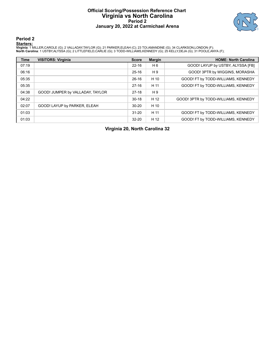#### **Official Scoring/Possession Reference Chart Virginia vs North Carolina Period 2 January 20, 2022 at Carmichael Arena**



**Period 2**

#### **Starters:**

Virginia: 1 MILLER,CAROLE (G); 2 VALLADAY,TAYLOR (G); 21 PARKER,ELEAH (C); 23 TOI,AMANDINE (G); 34 CLARKSON,LONDON (F);<br>North Carolina: 1 USTBY,ALYSSA (G); 2 LITTLEFIELD,CARLIE (G); 3 TODD-WILLIAMS,KENNEDY (G); 25 KELLY,DE

| <b>Time</b> | <b>VISITORS: Virginia</b>        | <b>Score</b> | <b>Margin</b> | <b>HOME: North Carolina</b>          |
|-------------|----------------------------------|--------------|---------------|--------------------------------------|
| 07:19       |                                  | $22 - 16$    | H 6           | GOOD! LAYUP by USTBY, ALYSSA [FB]    |
| 06:16       |                                  | $25-16$      | H 9           | GOOD! 3PTR by WIGGINS, MORASHA       |
| 05:35       |                                  | $26-16$      | H 10          | GOOD! FT by TODD-WILLIAMS, KENNEDY   |
| 05:35       |                                  | $27-16$      | H 11          | GOOD! FT by TODD-WILLIAMS, KENNEDY   |
| 04:38       | GOOD! JUMPER by VALLADAY, TAYLOR | $27-18$      | H 9           |                                      |
| 04:22       |                                  | $30 - 18$    | H 12          | GOOD! 3PTR by TODD-WILLIAMS, KENNEDY |
| 02:07       | GOOD! LAYUP by PARKER, ELEAH     | $30 - 20$    | H 10          |                                      |
| 01:03       |                                  | $31 - 20$    | H 11          | GOOD! FT by TODD-WILLIAMS, KENNEDY   |
| 01:03       |                                  | $32 - 20$    | H 12          | GOOD! FT by TODD-WILLIAMS, KENNEDY   |

**Virginia 20, North Carolina 32**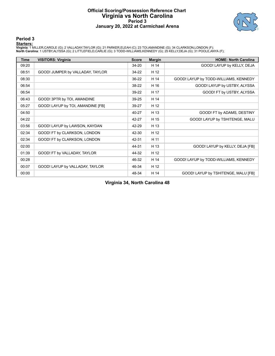#### **Official Scoring/Possession Reference Chart Virginia vs North Carolina Period 3 January 20, 2022 at Carmichael Arena**



#### **Period 3**

#### **Starters:**

Virginia: 1 MILLER,CAROLE (G); 2 VALLADAY,TAYLOR (G); 21 PARKER,ELEAH (C); 23 TOI,AMANDINE (G); 34 CLARKSON,LONDON (F);<br>North Carolina: 1 USTBY,ALYSSA (G); 2 LITTLEFIELD,CARLIE (G); 3 TODD-WILLIAMS,KENNEDY (G); 25 KELLY,DE

| Time  | <b>VISITORS: Virginia</b>         | <b>Score</b> | <b>Margin</b> | <b>HOME: North Carolina</b>           |
|-------|-----------------------------------|--------------|---------------|---------------------------------------|
| 09:20 |                                   | $34 - 20$    | H 14          | GOOD! LAYUP by KELLY, DEJA            |
| 08:51 | GOOD! JUMPER by VALLADAY, TAYLOR  | 34-22        | H 12          |                                       |
| 08:30 |                                   | 36-22        | H 14          | GOOD! LAYUP by TODD-WILLIAMS, KENNEDY |
| 06:54 |                                   | 38-22        | H 16          | GOOD! LAYUP by USTBY, ALYSSA          |
| 06:54 |                                   | 39-22        | H 17          | GOOD! FT by USTBY, ALYSSA             |
| 06:43 | GOOD! 3PTR by TOI, AMANDINE       | 39-25        | H 14          |                                       |
| 05:27 | GOOD! LAYUP by TOI, AMANDINE [FB] | 39-27        | H 12          |                                       |
| 04:50 |                                   | 40-27        | H 13          | GOOD! FT by ADAMS, DESTINY            |
| 04:22 |                                   | 42-27        | H 15          | GOOD! LAYUP by TSHITENGE, MALU        |
| 03:56 | GOOD! LAYUP by LAWSON, KAYDAN     | 42-29        | H 13          |                                       |
| 02:34 | GOOD! FT by CLARKSON, LONDON      | 42-30        | H 12          |                                       |
| 02:34 | GOOD! FT by CLARKSON, LONDON      | 42-31        | H 11          |                                       |
| 02:00 |                                   | 44-31        | H 13          | GOOD! LAYUP by KELLY, DEJA [FB]       |
| 01:39 | GOOD! FT by VALLADAY, TAYLOR      | 44-32        | H 12          |                                       |
| 00:28 |                                   | 46-32        | H 14          | GOOD! LAYUP by TODD-WILLIAMS, KENNEDY |
| 00:07 | GOOD! LAYUP by VALLADAY, TAYLOR   | 46-34        | H 12          |                                       |
| 00:00 |                                   | 48-34        | H 14          | GOOD! LAYUP by TSHITENGE, MALU [FB]   |

**Virginia 34, North Carolina 48**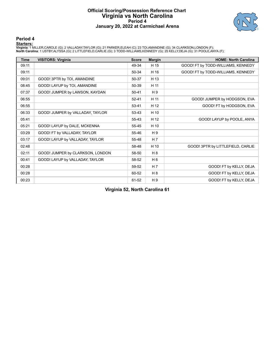#### **Official Scoring/Possession Reference Chart Virginia vs North Carolina Period 4 January 20, 2022 at Carmichael Arena**



#### **Period 4**

#### **Starters:**

Virginia: 1 MILLER,CAROLE (G); 2 VALLADAY,TAYLOR (G); 21 PARKER,ELEAH (C); 23 TOI,AMANDINE (G); 34 CLARKSON,LONDON (F);<br>North Carolina: 1 USTBY,ALYSSA (G); 2 LITTLEFIELD,CARLIE (G); 3 TODD-WILLIAMS,KENNEDY (G); 25 KELLY,DE

| <b>Time</b> | <b>VISITORS: Virginia</b>        | <b>Score</b> | <b>Margin</b>  | <b>HOME: North Carolina</b>        |
|-------------|----------------------------------|--------------|----------------|------------------------------------|
| 09:11       |                                  | 49-34        | H 15           | GOOD! FT by TODD-WILLIAMS, KENNEDY |
| 09:11       |                                  | 50-34        | H 16           | GOOD! FT by TODD-WILLIAMS, KENNEDY |
| 09:01       | GOOD! 3PTR by TOI, AMANDINE      | 50-37        | H 13           |                                    |
| 08:45       | GOOD! LAYUP by TOI, AMANDINE     | 50-39        | H 11           |                                    |
| 07:37       | GOOD! JUMPER by LAWSON, KAYDAN   | $50 - 41$    | H 9            |                                    |
| 06:55       |                                  | $52 - 41$    | H 11           | GOOD! JUMPER by HODGSON, EVA       |
| 06:55       |                                  | $53 - 41$    | H 12           | GOOD! FT by HODGSON, EVA           |
| 06:33       | GOOD! JUMPER by VALLADAY, TAYLOR | 53-43        | H 10           |                                    |
| 05:41       |                                  | 55-43        | H 12           | GOOD! LAYUP by POOLE, ANYA         |
| 05:21       | GOOD! LAYUP by DALE, MCKENNA     | 55-45        | H 10           |                                    |
| 03:29       | GOOD! FT by VALLADAY, TAYLOR     | 55-46        | H 9            |                                    |
| 03:17       | GOOD! LAYUP by VALLADAY, TAYLOR  | 55-48        | H 7            |                                    |
| 02:48       |                                  | 58-48        | H 10           | GOOD! 3PTR by LITTLEFIELD, CARLIE  |
| 02:11       | GOOD! JUMPER by CLARKSON, LONDON | 58-50        | H8             |                                    |
| 00:41       | GOOD! LAYUP by VALLADAY, TAYLOR  | 58-52        | H <sub>6</sub> |                                    |
| 00:28       |                                  | 59-52        | H <sub>7</sub> | GOOD! FT by KELLY, DEJA            |
| 00:28       |                                  | 60-52        | H 8            | GOOD! FT by KELLY, DEJA            |
| 00:23       |                                  | 61-52        | H9             | GOOD! FT by KELLY, DEJA            |

**Virginia 52, North Carolina 61**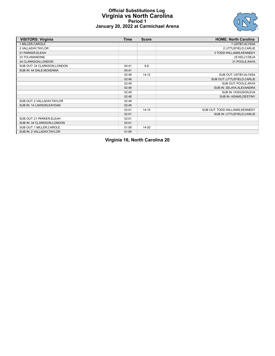#### **Official Substitutions Log Virginia vs North Carolina Period 1 January 20, 2022 at Carmichael Arena**



| <b>VISITORS: Virginia</b>    | <b>Time</b> | <b>Score</b> | <b>HOME: North Carolina</b>     |
|------------------------------|-------------|--------------|---------------------------------|
| 1 MILLER, CAROLE             |             |              | 1 USTBY, ALYSSA                 |
| 2 VALLADAY, TAYLOR           |             |              | 2 LITTLEFIELD, CARLIE           |
| 21 PARKER, ELEAH             |             |              | 3 TODD-WILLIAMS, KENNEDY        |
| 23 TOI, AMANDINE             |             |              | 25 KELLY, DEJA                  |
| 34 CLARKSON, LONDON          |             |              | 31 POOLE, ANYA                  |
| SUB OUT: 34 CLARKSON, LONDON | 04:41       | $8 - 8$      |                                 |
| SUB IN: 44 DALE, MCKENNA     | 04:41       |              |                                 |
|                              | 02:49       | $14 - 12$    | SUB OUT: USTBY, ALYSSA          |
|                              | 02:49       |              | SUB OUT: LITTLEFIELD, CARLIE    |
|                              | 02:49       |              | SUB OUT: POOLE, ANYA            |
|                              | 02:49       |              | SUB IN: ZELAYA, ALEXANDRA       |
|                              | 02:49       |              | SUB IN: HODGSON, EVA            |
|                              | 02:49       |              | SUB IN: ADAMS, DESTINY          |
| SUB OUT: 2 VALLADAY, TAYLOR  | 02:49       |              |                                 |
| SUB IN: 14 LAWSON, KAYDAN    | 02:49       |              |                                 |
|                              | 02:01       | $14 - 15$    | SUB OUT: TODD-WILLIAMS, KENNEDY |
|                              | 02:01       |              | SUB IN: LITTLEFIELD, CARLIE     |
| SUB OUT: 21 PARKER, ELEAH    | 02:01       |              |                                 |
| SUB IN: 34 CLARKSON, LONDON  | 02:01       |              |                                 |
| SUB OUT: 1 MILLER, CAROLE    | 01:09       | $14 - 20$    |                                 |
| SUB IN: 2 VALLADAY, TAYLOR   | 01:09       |              |                                 |

**Virginia 16, North Carolina 20**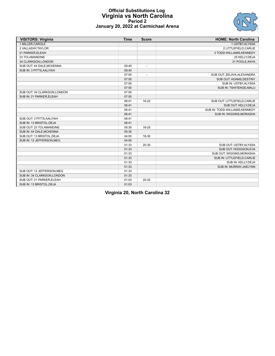

#### **Official Substitutions Log Virginia vs North Carolina Period 2 January 20, 2022 at Carmichael Arena**

| <b>VISITORS: Virginia</b>    | <b>Time</b> | <b>Score</b>             | <b>HOME: North Carolina</b>    |
|------------------------------|-------------|--------------------------|--------------------------------|
| 1 MILLER, CAROLE             |             |                          | 1 USTBY, ALYSSA                |
| 2 VALLADAY, TAYLOR           |             |                          | 2 LITTLEFIELD, CARLIE          |
| 21 PARKER, ELEAH             |             |                          | 3 TODD-WILLIAMS, KENNEDY       |
| 23 TOI, AMANDINE             |             |                          | 25 KELLY, DEJA                 |
| 34 CLARKSON, LONDON          |             |                          | 31 POOLE, ANYA                 |
| SUB OUT: 44 DALE, MCKENNA    | 09:40       | $\overline{\phantom{a}}$ |                                |
| SUB IN: 3 PITTS, AALIYAH     | 09:40       |                          |                                |
|                              | 07:55       | $\overline{\phantom{a}}$ | SUB OUT: ZELAYA, ALEXANDRA     |
|                              | 07:55       |                          | SUB OUT: ADAMS, DESTINY        |
|                              | 07:55       |                          | SUB IN: USTBY, ALYSSA          |
|                              | 07:55       |                          | SUB IN: TSHITENGE, MALU        |
| SUB OUT: 34 CLARKSON, LONDON | 07:55       |                          |                                |
| SUB IN: 21 PARKER, ELEAH     | 07:55       |                          |                                |
|                              | 06:41       | 16-22                    | SUB OUT: LITTLEFIELD, CARLIE   |
|                              | 06:41       |                          | SUB OUT: KELLY, DEJA           |
|                              | 06:41       |                          | SUB IN: TODD-WILLIAMS, KENNEDY |
|                              | 06:41       |                          | SUB IN: WIGGINS, MORASHA       |
| SUB OUT: 3 PITTS, AALIYAH    | 06:41       |                          |                                |
| SUB IN: 13 BRISTOL, DEJA     | 06:41       |                          |                                |
| SUB OUT: 23 TOI, AMANDINE    | 05:35       | 16-25                    |                                |
| SUB IN: 44 DALE, MCKENNA     | 05:35       |                          |                                |
| SUB OUT: 13 BRISTOL, DEJA    | 04:00       | 18-30                    |                                |
| SUB IN: 12 JEFFERSON, MEG    | 04:00       |                          |                                |
|                              | 01:33       | 20-30                    | SUB OUT: USTBY, ALYSSA         |
|                              | 01:33       |                          | SUB OUT: HODGSON, EVA          |
|                              | 01:33       |                          | SUB OUT: WIGGINS, MORASHA      |
|                              | 01:33       |                          | SUB IN: LITTLEFIELD, CARLIE    |
|                              | 01:33       |                          | SUB IN: KELLY, DEJA            |
|                              | 01:33       |                          | SUB IN: MURRAY, JAELYNN        |
| SUB OUT: 12 JEFFERSON, MEG   | 01:33       |                          |                                |
| SUB IN: 34 CLARKSON, LONDON  | 01:33       |                          |                                |
| SUB OUT: 21 PARKER, ELEAH    | 01:03       | 20-32                    |                                |
| SUB IN: 13 BRISTOL, DEJA     | 01:03       |                          |                                |

**Virginia 20, North Carolina 32**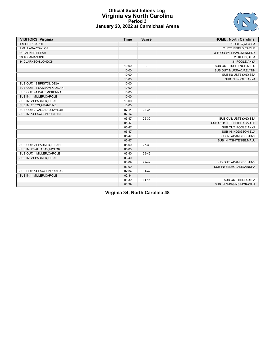

#### **Official Substitutions Log Virginia vs North Carolina Period 3 January 20, 2022 at Carmichael Arena**

| <b>VISITORS: Virginia</b>   | <b>Time</b> | <b>Score</b>             | <b>HOME: North Carolina</b>  |
|-----------------------------|-------------|--------------------------|------------------------------|
| 1 MILLER, CAROLE            |             |                          | 1 USTBY, ALYSSA              |
| 2 VALLADAY, TAYLOR          |             |                          | 2 LITTLEFIELD, CARLIE        |
| 21 PARKER, ELEAH            |             |                          | 3 TODD-WILLIAMS, KENNEDY     |
| 23 TOI, AMANDINE            |             |                          | 25 KELLY, DEJA               |
| 34 CLARKSON, LONDON         |             |                          | 31 POOLE, ANYA               |
|                             | 10:00       | $\overline{\phantom{a}}$ | SUB OUT: TSHITENGE, MALU     |
|                             | 10:00       |                          | SUB OUT: MURRAY, JAELYNN     |
|                             | 10:00       |                          | SUB IN: USTBY, ALYSSA        |
|                             | 10:00       |                          | SUB IN: POOLE, ANYA          |
| SUB OUT: 13 BRISTOL, DEJA   | 10:00       |                          |                              |
| SUB OUT: 14 LAWSON, KAYDAN  | 10:00       |                          |                              |
| SUB OUT: 44 DALE, MCKENNA   | 10:00       |                          |                              |
| SUB IN: 1 MILLER, CAROLE    | 10:00       |                          |                              |
| SUB IN: 21 PARKER, ELEAH    | 10:00       |                          |                              |
| SUB IN: 23 TOI, AMANDINE    | 10:00       |                          |                              |
| SUB OUT: 2 VALLADAY, TAYLOR | 07:14       | 22-36                    |                              |
| SUB IN: 14 LAWSON, KAYDAN   | 07:14       |                          |                              |
|                             | 05:47       | 25-39                    | SUB OUT: USTBY, ALYSSA       |
|                             | 05:47       |                          | SUB OUT: LITTLEFIELD, CARLIE |
|                             | 05:47       |                          | SUB OUT: POOLE, ANYA         |
|                             | 05:47       |                          | SUB IN: HODGSON, EVA         |
|                             | 05:47       |                          | SUB IN: ADAMS, DESTINY       |
|                             | 05:47       |                          | SUB IN: TSHITENGE, MALU      |
| SUB OUT: 21 PARKER, ELEAH   | 05:00       | 27-39                    |                              |
| SUB IN: 2 VALLADAY, TAYLOR  | 05:00       |                          |                              |
| SUB OUT: 1 MILLER, CAROLE   | 03:40       | 29-42                    |                              |
| SUB IN: 21 PARKER, ELEAH    | 03:40       |                          |                              |
|                             | 03:09       | 29-42                    | SUB OUT: ADAMS, DESTINY      |
|                             | 03:09       |                          | SUB IN: ZELAYA, ALEXANDRA    |
| SUB OUT: 14 LAWSON, KAYDAN  | 02:34       | $31 - 42$                |                              |
| SUB IN: 1 MILLER, CAROLE    | 02:34       |                          |                              |
|                             | 01:39       | $31 - 44$                | SUB OUT: KELLY, DEJA         |
|                             | 01:39       |                          | SUB IN: WIGGINS, MORASHA     |

**Virginia 34, North Carolina 48**